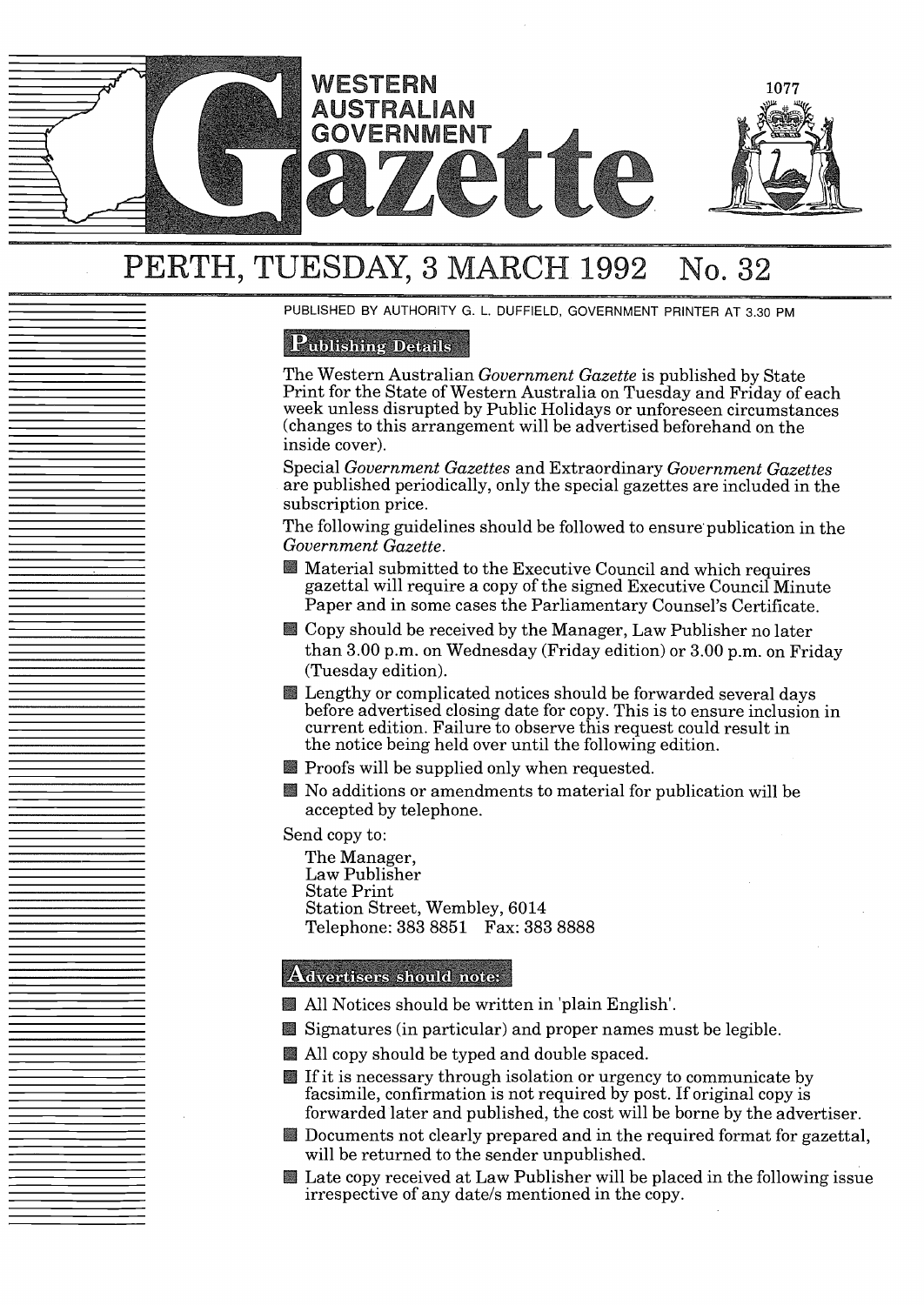

# PERTH, TUESDAY, 3 MARCH 1992 No. 32

PUBLISHED BY AUTHORITY G. L. DUFFIELD, GOVERNMENT PRINTER AT 3.30 PM

## **Publishing Details**

The Western Australian *Government Gazette* is published by State Print for the State of Western Australia on Tuesday and Friday of each week unless disrupted by Public Holidays or unforeseen circumstances changes to this arrangement will be advertised beforehand on the inside cover).

Special *Government Gazettes* and Extraordinary *Government Gazettes* are published periodically, only the special gazettes are included in the subscription price.

The following guidelines should be followed to ensure publication in the *Government Gazette.*

- Material submitted to the Executive Council and which requires gazettal will require a copy of the signed Executive Council Minute Paper and in some cases the Parliamentary Counsel's Certificate.
- **El** Copy should be received by the Manager, Law Publisher no later than  $3.00$  p.m. on Wednesday (Friday edition) or  $3.00$  p.m. on Friday (Tuesday edition).
- **E** Lengthy or complicated notices should be forwarded several days before advertised closing date for copy. This is to ensure inclusion in current edition. Failure to observe this request could result in the notice being held over until the following edition.
- **Proofs will be supplied only when requested.**
- $\blacksquare$  No additions or amendments to material for publication will be accepted by telephone.

Send copy to:

The Manager, Law Publisher State Print Station Street, Wembley, 6014 Telephone: 383 8851 Fax: 383 8888

#### Advertisers should note:

- **All Notices should be written in 'plain English'.**
- $\blacksquare$  Signatures (in particular) and proper names must be legible.
- All copy should be typed and double spaced.
- If it is necessary through isolation or urgency to communicate by facsimile, confirmation is not required by post. If original copy is forwarded later and published, the cost will be borne by the advertiser.
- Documents not clearly prepared and in the required format for gazettal, will be returned to the sender unpublished.
- Late copy received at Law Publisher will be placed in the following issue irrespective of any date/s mentioned in the copy.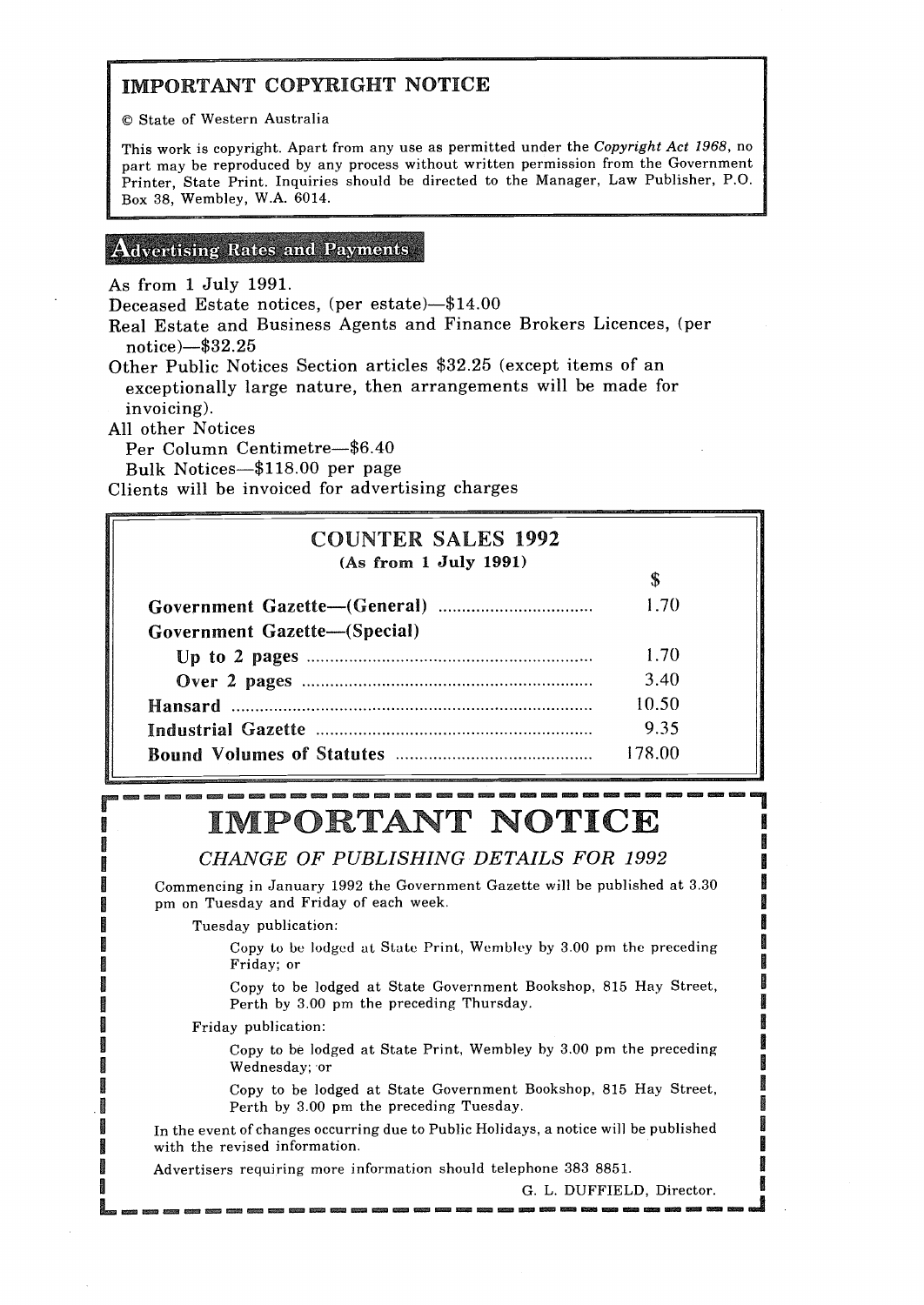# IMPORTANT COPYRIGHT NOTICE

© State of Western Australia

This work is copyright. Apart from any use as permitted under the *Copyright Act 1968,* no part may be reproduced by any process without written permission from the Government Printer, State Print. Inquiries should be directed to the Manager, Law Publisher, P.O. Box 38, Wembley, W.A. 6014.

#### **Advertising Rates and Payments**

As from <sup>1</sup> July 1991.

Deceased Estate notices, (per estate)-\$14.00

Real Estate and Business Agents and Finance Brokers Licences, (per notice $-$ \$32.25

Other Public Notices Section articles \$32.25 (except items of an exceptionally large nature, then arrangements will be made for invoicing).

All other Notices

r<br>F

1000000

Per Column Centimetre-\$6.40

Bulk Notices-\$118.00 per page

Clients will be invoiced for advertising charges

| <b>COUNTER SALES 1992</b>    |        |
|------------------------------|--------|
| (As from 1 July 1991)        | \$     |
|                              | 1.70   |
| Government Gazette-(Special) |        |
|                              | 1.70   |
|                              | 3.40   |
|                              | 10.50  |
|                              | 9.35   |
|                              | 178.00 |

# IMPORTANT NOTICE

CHANGE *OF PUBLISHING DETAILS FOR 1992*

Commencing in January 1992 the Government Gazette will be published at 3.30 pm on Tuesday and Friday of each week.

Tuesday publication:

Copy to be lodged at State Print, Wembley by 3.00 pm the preceding Friday; or

Copy to be lodged at State Government Bookshop, 815 Hay Street, Perth by 3.00 pm the preceding Thursday.

Friday publication:

Copy to be lodged at State Print, Wembley by 3.00 pm the preceding Wednesday; 'or

Copy to be lodged at State Government Bookshop, 815 Hay Street, Perth by 3.00 pm the preceding Tuesday.

In the event of changes occurring due to Public Holidays, a notice will be published with the revised information.

Advertisers requiring more information should telephone 383 8851.

G. L. DUFFIELD, Director.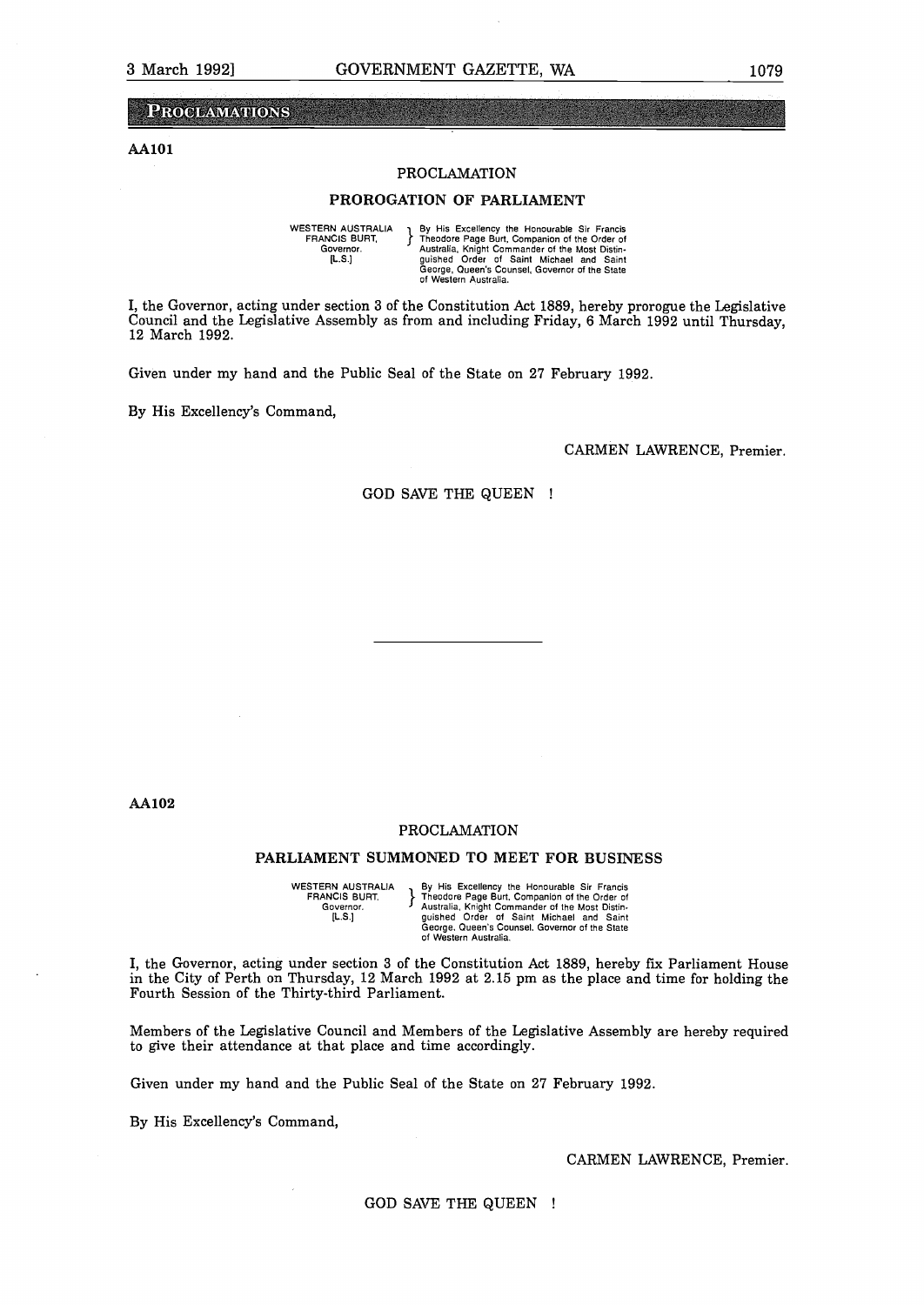#### **PROCLAMATIONS**

#### **AA1O1**

#### PROCLAMATION

#### PROROGATION OF PARLIAMENT

WESTERN AUSTRALIA By His Excellency the Honourable Sir Francis<br>
FRANCIS BURIT, Fredore Page Burt, Companion of the Order or<br>
Governor.<br>
Governor.<br>
(L.S.)<br>
Theodore of Saint Michael and Sain<br>
George, Queen's Counsel, Govern

I, the Governor, acting under section 3 of the Constitution Act 1889, hereby prorogue the Legislative Council and the Legislative Assembly as from and including Friday, 6 March 1992 until Thursday, 12 March 1992.

Given under my hand and the Public Seal of the State on 27 February 1992.

By His Excellency's Command,

CARMEN LAWRENCE, Premier.

GOD SAVE THE QUEEN

AA1O2

#### PROCLAMATION

#### PARLIAMENT SUMMONED TO MEET FOR BUSINESS

WESTERN AUSTRALIA By His Excellency the Honourable Sir Francis<br>
FRANCIS BURT. Theodore Page Burt, Companion of the Order of<br>
Governor. Jaustralia, Knight Commander of the Most Distin-<br>
[L.S.] Guerge, Queen's Counsel, Gover FRANCIS BURT. }<br>Governor. }

I, the Governor, acting under section <sup>3</sup> of the Constitution Act 1889, hereby fix Parliament House in the City of Perth on Thursday, <sup>12</sup> March 1992 at 2.15 pm as the place and time for holding the Fourth Session of the Thirty-third Parliament.

Members of the Legislative Council and Members of the Legislative Assembly are hereby required to give their attendance at that place and time accordingly.

Given under my hand and the Public Seal of the State on <sup>27</sup> February 1992.

By His Excellency's Command,

CARMEN LAWRENCE, Premier.

GOD SAVE THE QUEEN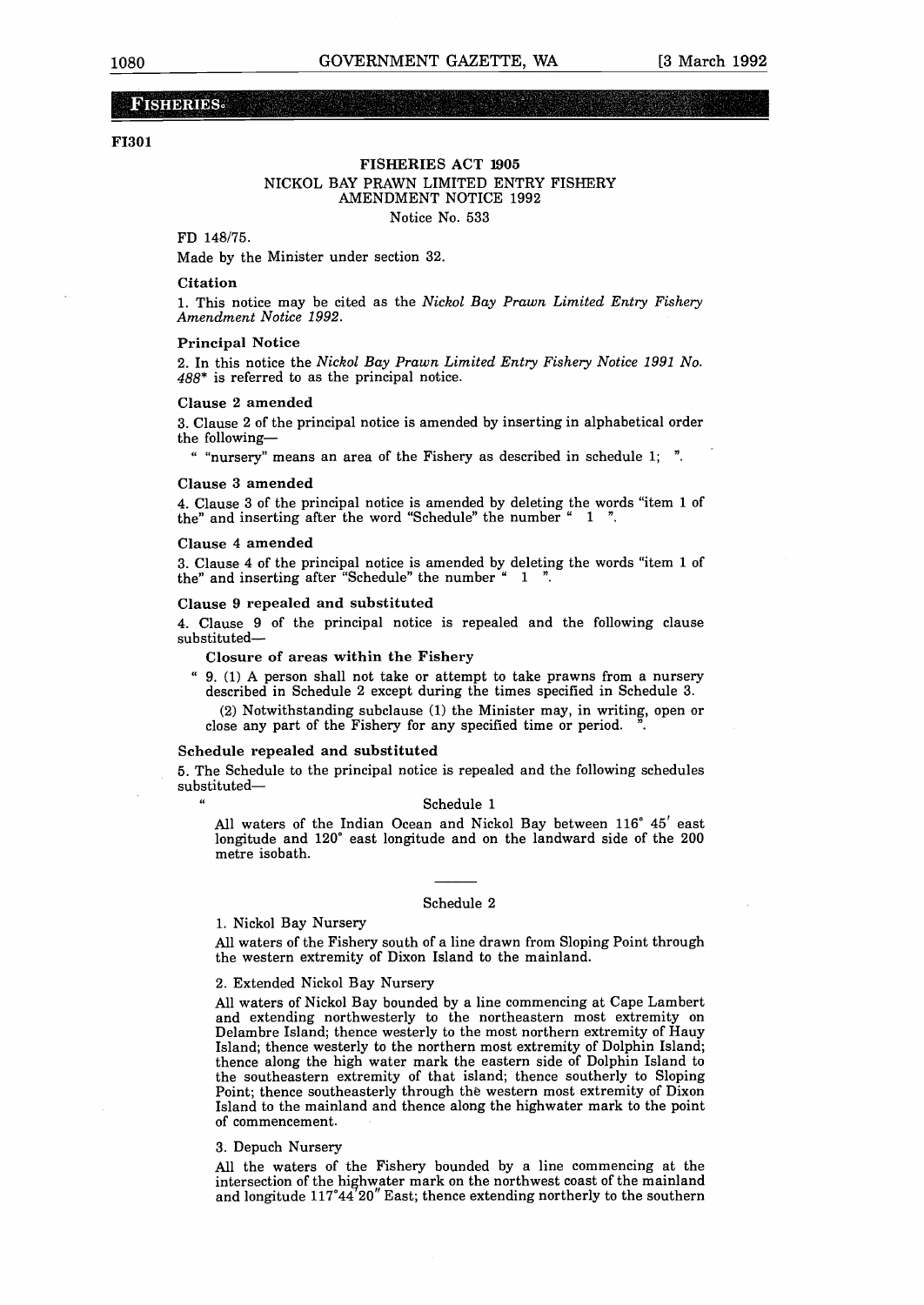#### **FISHERIES**

#### **F1301**

#### Notice No. 533 FISHERIES ACT 1905 NICKOL BAY PRAWN LIMITED ENTRY FISHERY AMENDMENT NOTICE 1992

#### **FD 148/75.**

Made by the Minister under section 32.

#### Citation

1. This notice may be cited as the *Nickol Bay Prawn Limited Entry Fishery Amendment Notice 1992.*

#### **Principal Notice**

2. In this notice the *Nickol Bay Prawn Limited Entry Fishery Notice 1991 No. 488\** is referred to as the principal notice.

#### Clause 2 amended

3. Clause 2 of the principal notice is amended by inserting in alphabetical order the following-

"nursery" means an area of the Fishery as described in schedule 1; ".

#### **Clause 3 amended**

4. Clause **<sup>3</sup> of the principal notice is amended** by deleting the words "item <sup>1</sup> of the" and inserting after the word "Schedule" the number ". 1

#### **Clause 4 amended**

3. Clause 4 of the principal notice is amended by deleting the words "item 1 of the" and inserting after "Schedule" the number  $\stackrel{a}{\sim}$  1  $\stackrel{m}{\sim}$ the" and inserting after "Schedule" the number "

#### **Clause <sup>9</sup> repealed and substituted**

**4. Clause 9 of the** principal notice is repealed and the following clause substituted-

#### **Closure of areas within the Fishery**

 $9.$  (1) A person shall not take or attempt to take prawns from a nursery described in Schedule 2 except during the times specified in Schedule 3.

 $(2)$  Notwithstanding subclause  $(1)$  the Minister may, in writing, open or close any part of the Fishery for any specified time or period.

#### **Schedule repealed and substituted**

5. The Schedule to the principal notice is repealed and the following schedules substituted-

#### Schedule <sup>1</sup>

All waters of the Indian Ocean and Nickol Bay between 116° 45' east longitude and 120° east longitude and on the landward side of the 200 metre isobath.

#### Schedule <sup>2</sup>

#### 1. Nickol Bay Nursery

All waters of the Fishery south of a line drawn from Sloping Point through **the western extremity of Dixon Island to the mainland.**

#### 2. Extended Nickol Bay Nursery

All waters of Nickol Bay bounded by a line commencing at Cape Lambert and extending northwesterly to the northeastern most extremity on Delambre Island; thence westerly to the most northern extremity of Hauy Island; thence westerly to the northern most extremity of Dolphin Island; thence along the high water mark the eastern side of Dolphin Island to the southeastern extremity of that island; thence southerly to Sloping Point; thence southeasterly through the western most extremity of Dixon Island to the mainland and thence along the highwater mark to the point of commencement.

#### 3. Depuch Nursery

All the waters of the Fishery bounded by a line commencing at the intersection of the highwater mark on the northwest coast of the mainland and longitude  $117^{\circ}44'20''$  East; thence extending northerly to the southern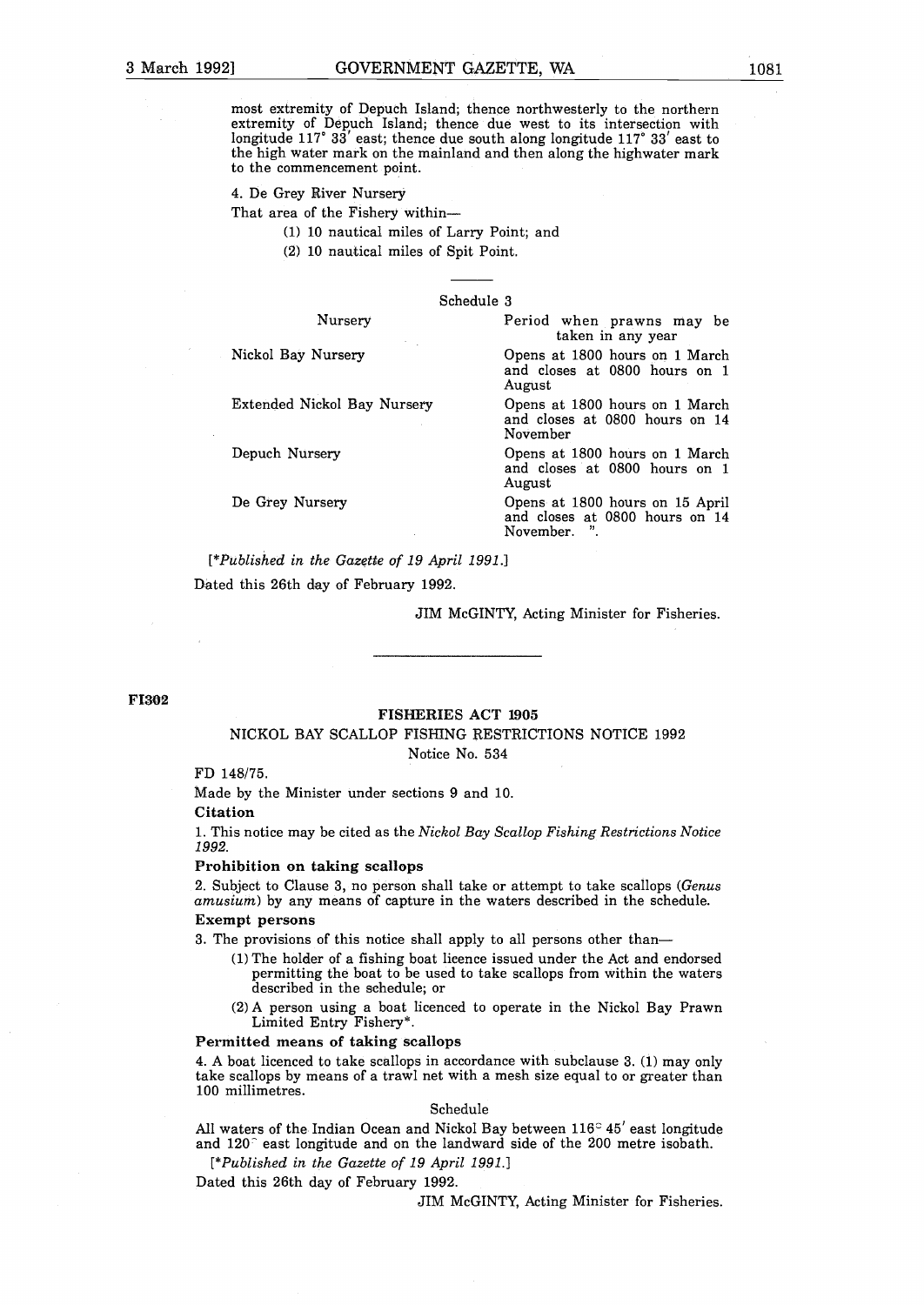**most extremity of Depuch Island; thence northwesterly to the northern extremity of Depuch Island; thence due west to its intersection with** longitude **117° 33' east; thence due south** along longitude 117° **33' east to** the high water mark on the mainland and then along the highwater mark to the commencement point.

#### 4. De Grey River Nursery

That area of the Fishery within-

- 1 <sup>10</sup> nautical miles of Larry Point; and
- (2) 10 nautical miles of Spit Point.

#### Schedule <sup>3</sup>

| Nursery                     | Period when prawns may be<br>taken in any year                                 |
|-----------------------------|--------------------------------------------------------------------------------|
| Nickol Bay Nursery          | Opens at 1800 hours on 1 March<br>and closes at 0800 hours on 1<br>August      |
| Extended Nickol Bay Nursery | Opens at 1800 hours on 1 March<br>and closes at 0800 hours on 14<br>November   |
| Depuch Nursery              | Opens at 1800 hours on 1 March<br>and closes at 0800 hours on 1<br>August      |
| De Grey Nursery             | Opens at 1800 hours on 15 April<br>and closes at 0800 hours on 14<br>November. |

*[\*published in the Gazette of 19 April 1991.]* Dated this 26th day of February 1992.

JIM McGINTY, Acting Minister for Fisheries.

F1302

#### FISHERIES ACT 1905

#### NICKOL BAY SCALLOP FISHING RESTRICTIONS NOTICE 1992 Notice No. 534

FD 148/75.

Made by the Minister under sections 9 and 10.

**Citation**

1. This notice may be cited as the *Nickol Bay Scallop Fishing Restrictions Notice 1992.*

#### **Prohibition on taking scallops**

2. Subject to Clause 3, no person shall take or attempt to take scallops *Genus amusium*) by any means of capture in the waters described in the schedule.

#### **Exempt persons**

3. The provisions of this notice shall apply to all persons other than-

- 1 The holder of <sup>a</sup> fishing boat licence issued under the Act and endorsed permitting the boat to be used to take scallops from within the waters described in the schedule; or
- 2 <sup>A</sup> person using <sup>a</sup> boat licenced to operate in the Nickol Bay Prawn Limited Entry Fishery\*.

#### **Permitted means of taking scallops**

4. A boat licenced to take scallops in accordance with subclause  $3. (1)$  may only take scallops by means of a trawl net with a mesh size equal to or greater than 100 millimetres.

#### Schedule

All waters of the Indian Ocean and Nickol Bay between 116° 45' east longitude and 120<sup>c</sup> east longitude and on the landward side of the 200 metre isobath.

*[\*published in the Gazette of 19 April 1991.]*

Dated this 26th day of February 1992.

JIM McGINTY, Acting Minister for Fisheries.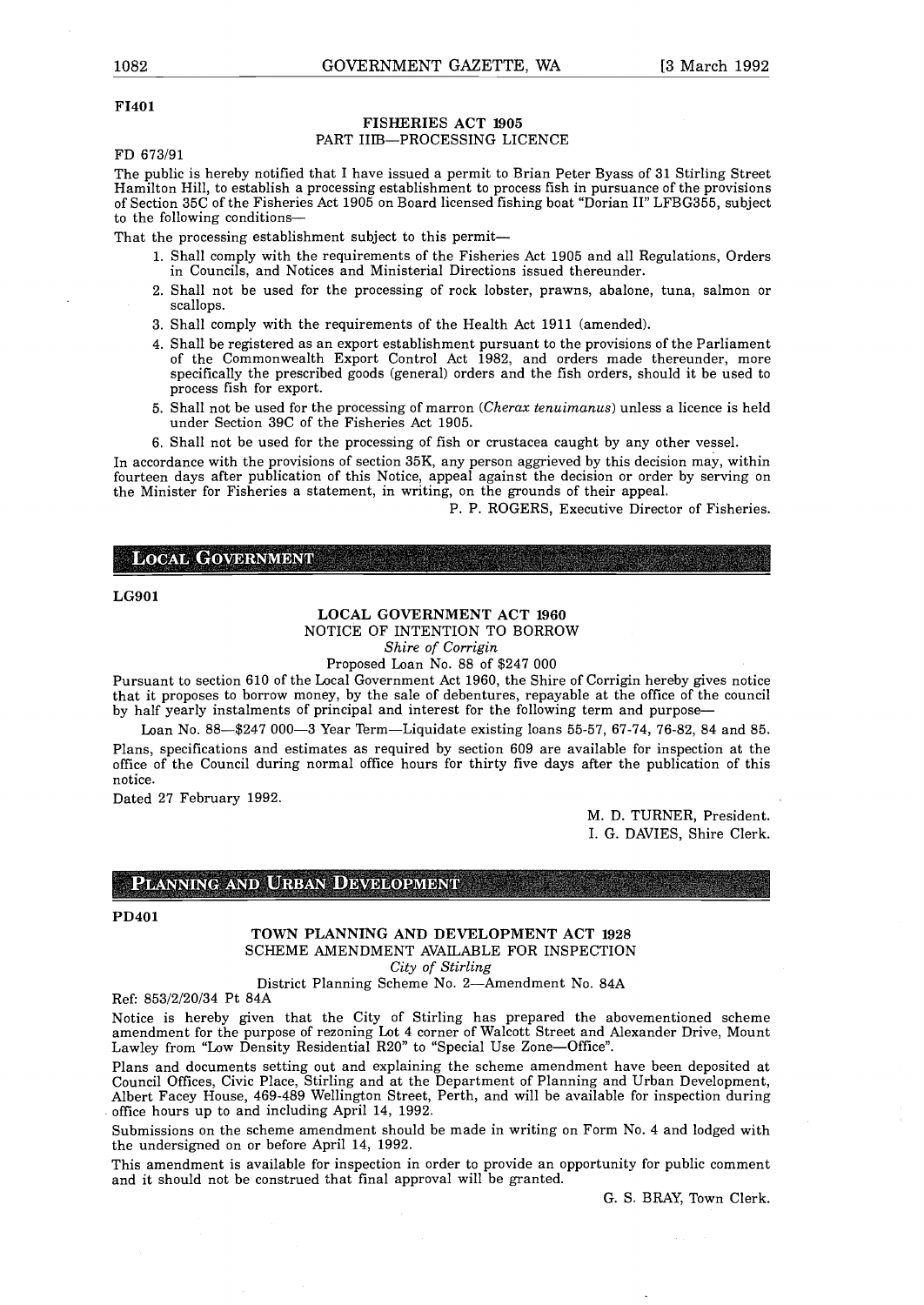#### **F1401**

#### FISHERIES ACT 1905 PART IIIB-PROCESSING LICENCE

FD 673/91

The public is hereby notified that <sup>I</sup> have issued a permit to Brian Peter Byass of **31** Stirling Street Hamilton Hill, to establish a processing establishment to process fish in pursuance of the provisions of Section 35C of the Fisheries Act 1905 on Board licensed fishing boat "Dorian II" LFBG355, subject to the following conditions-

That the processing establishment subject to this permit-

- 1. Shall comply with the requirements of the Fisheries Act 1905 and all Regulations, Orders in Councils, and Notices and Ministerial Directions issued thereunder.
- 2. Shall not be used for the processing of rock lobster, prawns, abalone, tuna, salmon or scallops.
- 3. Shall comply with the requirements of the Health Act 1911 (amended).
- 4. Shall be registered as an export establishment pursuant to the provisions of the Parliament of the Commonwealth Export Control Act 1982, and orders made thereunder, more specifically the prescribed goods (general) orders and the fish orders, should it be used to process fish for export.
- 5. Shall not be used for the processing of marron *Cherax tenuimanus* unless a licence is held under Section 39C of the Fisheries Act 1905.
- 6. Shall not be used for the processing of fish or crustacea caught by any other vessel.

In accordance with the provisions of section 35K, any person aggrieved by this decision may, within fourteen days after publication of this Notice, appeal against the decision or order by serving on the Minister for Fisheries a statement, in writing, on the grounds of their appeal.

P. P. ROGERS, Executive Director of Fisheries.

**LOCAL GOVERNMENT** 

**LG9O1**

#### **LOCAL GOVERNMENT ACT** 1960

NOTICE OF INTENTION TO BORROW

*Shire of Corrigin*

Proposed Loan No. 88 of \$247 000 Pursuant to section 610 of the Local Government Act 1960, the Shire of Corrigin hereby gives notice that it proposes to borrow money, by the sale of debentures, repayable at the office of the council by half yearly instalments of principal and interest for the following term and purpose-

Loan No. 88-\$247 000-3 Year Term-Liquidate existing loans 55-57, 67-74, 76-82, 84 and 85. Plans, specifications and estimates as required by section 609 are available for inspection at the office of the Council during normal office hours for thirty five days after the publication of this notice.

Dated 27 February 1992.

M. D. TURNER, President. I. G. DAVIES, Shire Clerk.

#### PLANNING AND URBAN DEVELOPMENT

#### **PD4O1**

**TOWN PLANNING AND DEVELOPMENT ACT 1928** SCHEME AMENDMENT AVAILABLE FOR INSPECTION *City of Stirling*

District Planning Scheme No. 2-Amendment No. 84A

Ref: 853/2/20/34 Pt 84A

Notice is hereby given that the City of Stirling has prepared the abovementioned scheme amendment for the purpose of rezoning Lot 4 corner of Walcott Street and Alexander Drive, Mount Lawley from "Low Density Residential R20" to "Special Use Zone-Office".

Plans and documents setting out and explaining the scheme amendment have been deposited at Council Offices, Civic Place, Stirling and at the Department of Planning and Urban Development, Albert Facey House, 469-489 Wellington Street, Perth, and will be available for inspection during office hours up to and including April 14, 1992.

Submissions on the scheme amendment should be made in writing on Form No. 4 and lodged with the undersigned on or before April 14, 1992.

This amendment is available for inspection in order to provide an opportunity for public comment and it should not be construed that final approval will be granted.

G. S. BRAY, Town Clerk.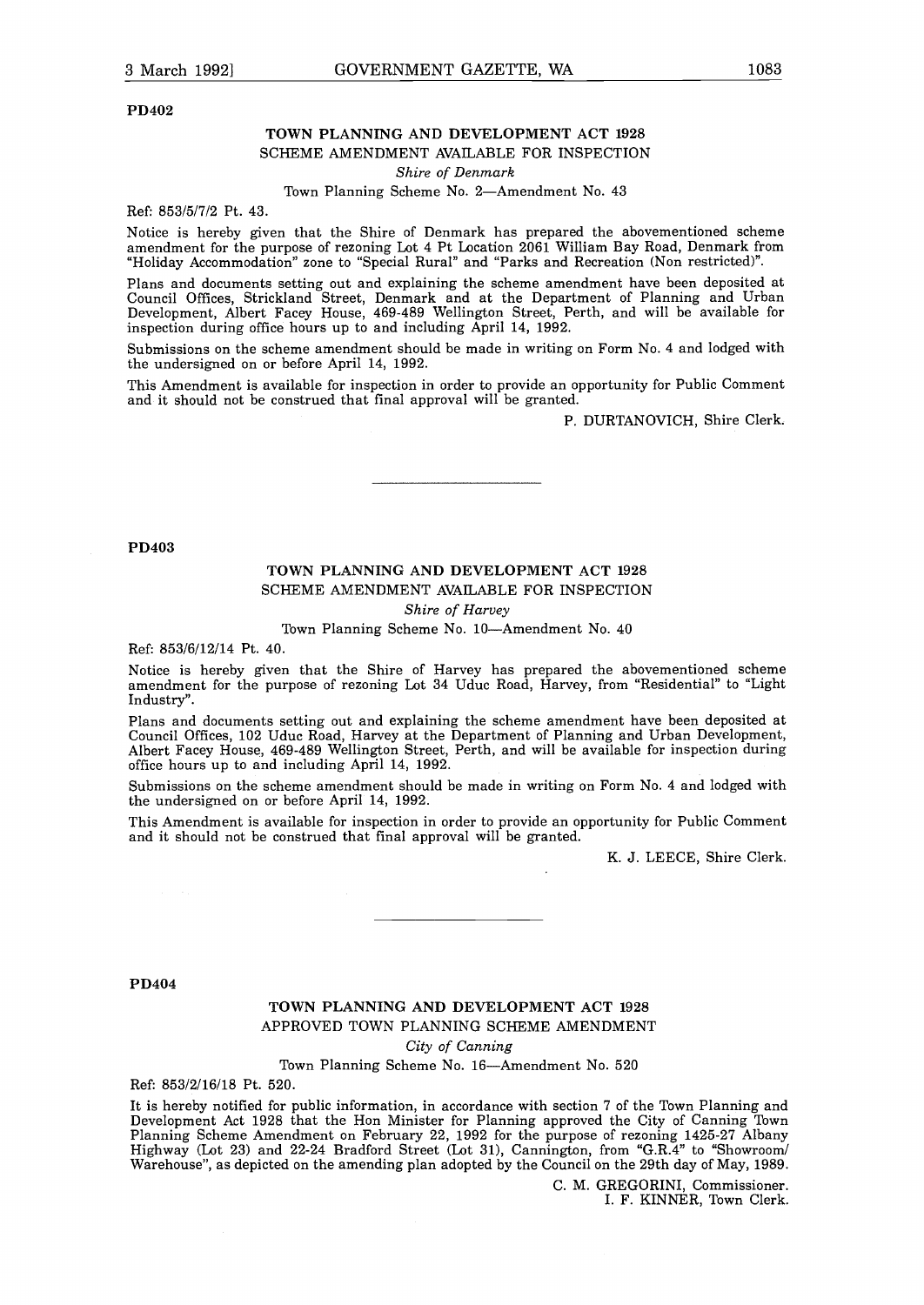**PD402**

# **TOWN PLANNING AND DEVELOPMENT ACT 1928** SCHEME AMENDMENT AVAILABLE FOR INSPECTION

*Shire of Denmark*

Town Planning Scheme No. 2-Amendment No. 43

Ref: 853/5/7/2 Pt. 43.

Notice is hereby given that the Shire of Denmark has prepared the abovementioned scheme amendment for the purpose of rezoning Lot <sup>4</sup> Pt Location 2061 William Bay Road, Denmark from "Holiday Accommodation" zone to "Special Rural" and "Parks and Recreation Non restricted".

Plans and documents setting out and explaining the scheme amendment have been deposited at Council Offices, Strickland Street, Denmark and at the Department of Planning and Urban Development, Albert Facey House, 469-489 Wellington Street, Perth, and will be available for inspection during office hours up to and including April 14, 1992.

Submissions on the scheme amendment should be made in writing on Form No. 4 and lodged with the undersigned on or before April 14, 1992.

This Amendment is available for inspection in order to provide an opportunity for Public Comment and it should not be construed that final approval will be granted.

P. DURTANOVICH, Shire Clerk.

**PD403**

# TOWN PLANNING AND DEVELOPMENT ACT 1928 SCHEME AMENDMENT AVAILABLE FOR INSPECTION

*Shire of Harvey*

Town Planning Scheme No. 10-Amendment No. 40

Ref: 853/6/12/14 Pt. 40.

Notice is hereby given that the Shire of Harvey has prepared the abovementioned scheme amendment for the purpose of rezoning Lot 34 Uduc Road, Harvey, from "Residential" to "Light Industry".

Plans and documents setting out and explaining the scheme amendment have been deposited at Council Offices, 102 Uduc Road, Harvey at the Department of Planning and Urban Development, Albert Facey House, 469-489 Wellington Street, Perth, and will be available for inspection during office hours up to and including April 14, 1992.

Submissions on the scheme amendment should be made in writing on Form No. 4 and lodged with the undersigned on or before April 14, 1992.

This Amendment is available for inspection in order to provide an opportunity for Public Comment and it should not be construed that final approval will be granted.

K. J. LEECE, Shire Clerk.

**PD404**

# TOWN PLANNING AND DEVELOPMENT ACT 1928 APPROVED TOWN PLANNING SCHEME AMENDMENT

*City of Canning*

Town Planning Scheme No. 16-Amendment No. 520

Ref: 853/2/16/18 Pt. 520.

It is hereby notified for public information, in accordance with section <sup>7</sup> of the Town Planning and Development Act 1928 that the Hon Minister for Planning approved the City of Canning Town Planning Scheme Amendment on February 22, 1992 for the purpose of rezoning 1425-27 Albany Highway Lot 23 and 22-24 Bradford Street Lot 31, Cannington, from "G.R.4" to "Showroom/ Warehouse", as depicted on the amending plan adopted by the Council on the 29th day of May, 1989.

> C. M. GREGORINI, Commissioner. I. F. KINNER, Town Clerk.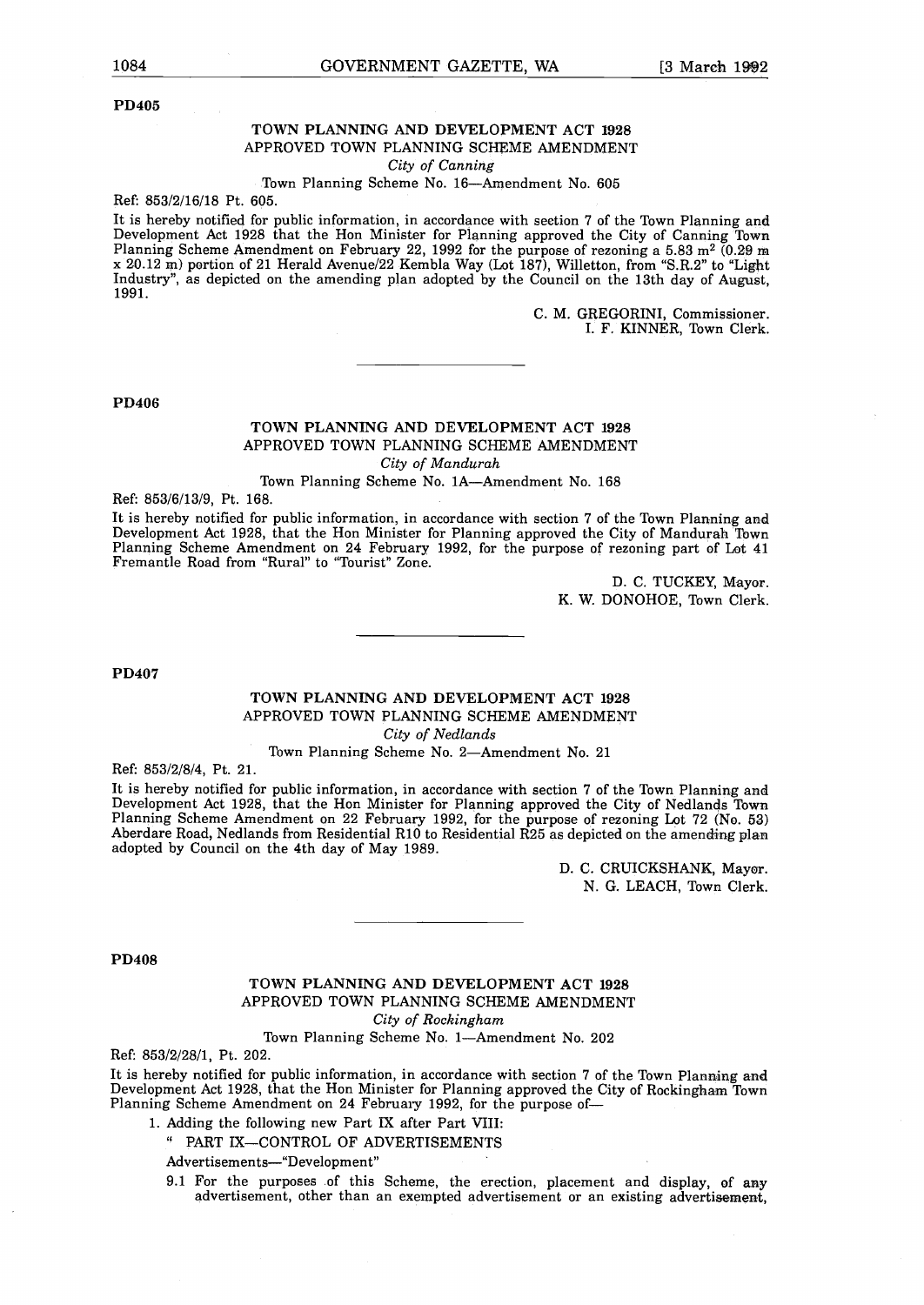**PD405**

## **TOWN PLANNING AND DEVELOPMENT ACT 1928** APPROVED TOWN PLANNING SCHEME AMENDMENT

*City of Canning*

#### Town Planning Scheme No. 16-Amendment No. 605

Ref: 853/2/16/18 Pt. 605.

It is hereby notified for public information, in accordance with section <sup>7</sup> of the Town Planning and Development Act 1928 that the Hon Minister for Planning approved the City of Canning Town Planning Scheme Amendment on February 22, 1992 for the purpose of rezoning a 5.83 m<sup>2</sup> (0.29 m <sup>x</sup> 20.12 m portion of <sup>21</sup> Herald Avenue/22 Kembla Way Lot 187, Willetton, from "S.R.2" to 'Light Industry", as depicted on the amending plan adopted by the Council on the 13th day of August, 1991.

> C. M. GREGORINI, Commissioner. I. F. KINNER, Town Clerk.

**PD406**

#### **TOWN PLANNING AND DEVELOPMENT ACT 1928** APPROVED TOWN PLANNING SCHEME AMENDMENT *City of Mandurah*

Town Planning Scheme No. lA-Amendment No. 168

Ref: 853/6/13/9, Pt. 168.

It is hereby notified for public information, in accordance with section <sup>7</sup> of the Town Planning and Development Act 1928, that the Hon Minister for Planning approved the City of Mandurah Town Planning Scheme Amendment on <sup>24</sup> February 1992, for the purpose of rezoning part of Lot 41 Fremantle Road from "Rural" to "Tourist" Zone.

> D. C. TUCKEY, Mayor. K. W. DONOHOE, Town Clerk.

**PD407**

# **TOWN PLANNING AND DEVELOPMENT ACT 1928** APPROVED TOWN PLANNING SCHEME AMENDMENT

*City of Nedlands*

#### Town Planning Scheme No. 2-Amendment No. <sup>21</sup>

Ref: 853/2/8/4, Pt. 21.

It is hereby notified for public information, in accordance with section <sup>7</sup> of the Town Planning and Development Act 1928, that the Hon Minister for Planning approved the City of Nedlands Town Planning Scheme Amendment on 22 February 1992, for the purpose of rezoning Lot <sup>72</sup> No. 53 Aberdare Road, Nedlands from Residential RiO to Residential R25 as depicted on the amending plan adopted by Council on the 4th day of May 1989.

> D. C. CRUICKSHANK, Mayor. N. G. LEACH, Town Clerk.

#### **PD408**

#### TOWN PLANNING AND DEVELOPMENT ACT 1928 APPROVED TOWN PLANNING SCHEME AMENDMENT *City of Rockingham*

Town Planning Scheme No. 1-Amendment No. 202

Ref: 853/2/28/1, Pt. 202.

It is hereby notified for public information, in accordance with section <sup>7</sup> of the Town Planning and Development Act 1928, that the Hon Minister for Planning approved the City of Rockingham Town Planning Scheme Amendment on <sup>24</sup> February 1992, for the purpose of-

. Adding the following new Part IX after Part VIII:

' PART IX-CONTROL OF ADVERTISEMENTS

Advertisements-"Development"

9.1 For the purposes of this Scheme, the erection, placement and display, of any advertisement, other than an exempted advertisement or an existing advertisement,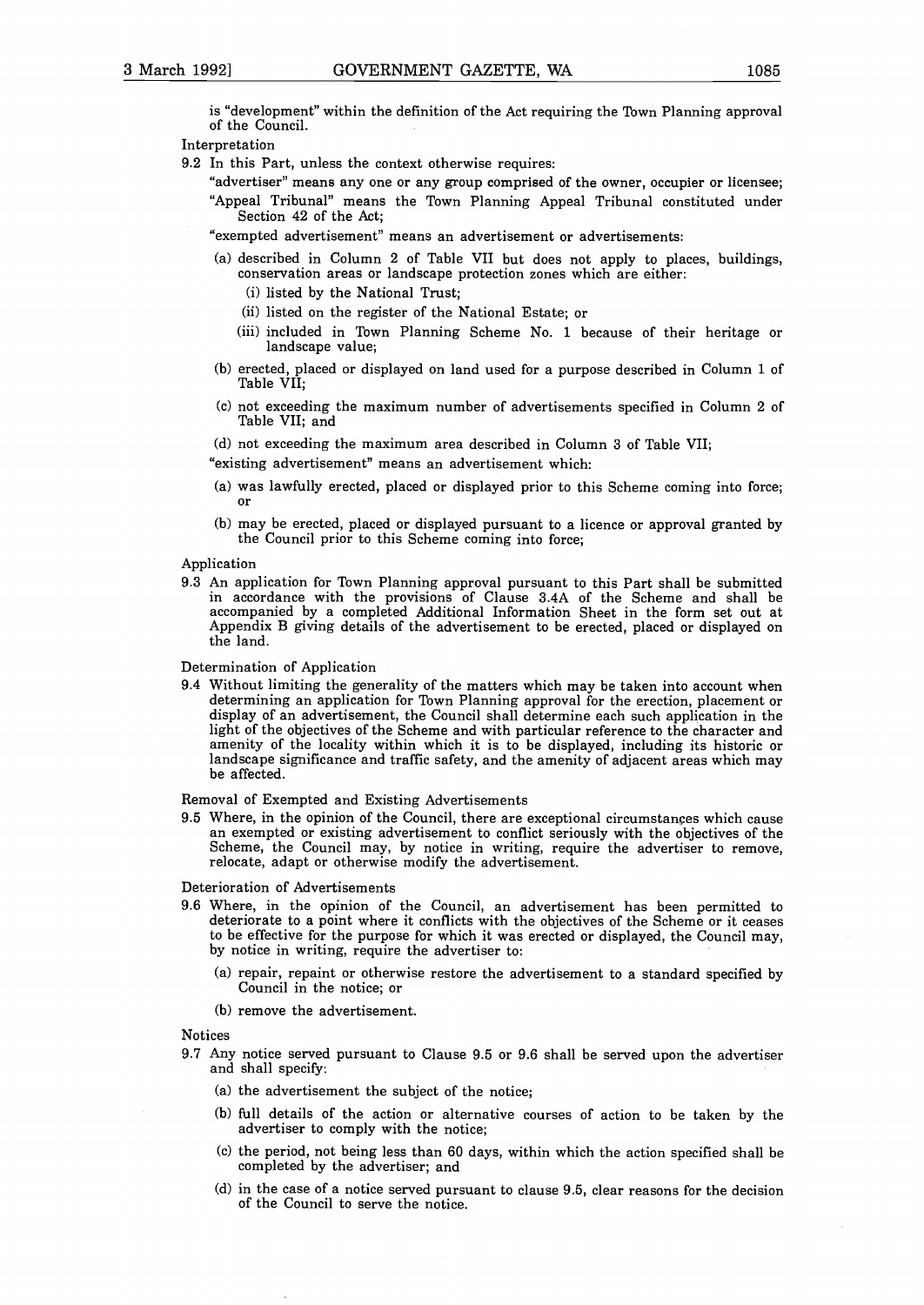is "development" within the definition of the Act requiring the Town Planning approval of the Council.

#### Interpretation

9.2 In this Part, unless the context otherwise requires:

"advertiser" means any one or any group comprised of the owner, occupier or licensee; "Appeal Tribunal" means the Town Planning Appeal Tribunal constituted under Section 42 of the Act;

"exempted advertisement" means an advertisement or advertisements:

- a described in Column <sup>2</sup> of Table VII but does not apply to places, buildings, conservation areas or landscape protection zones which are either:
	- (i) listed by the National Trust:
	- (ii) listed on the register of the National Estate; or
	- (iii) included in Town Planning Scheme No. 1 because of their heritage or landscape value;
- b erected, placed or displayed on land used for <sup>a</sup> purpose described in Column <sup>1</sup> of Table VII;
- (c) not exceeding the maximum number of advertisements specified in Column 2 of Table VII; and
- (d) not exceeding the maximum area described in Column 3 of Table VII;

"existing advertisement" means an advertisement which:

- (a) was lawfully erected, placed or displayed prior to this Scheme coming into force; or
- b may be erected, placed or displayed pursuant to <sup>a</sup> licence or approval granted by the Council prior to this Scheme coming into force;

#### Application

9.3 An application for Town Planning approval pursuant to this Part shall be submitted in accordance with the provisions of Clause 3.4A of the Scheme and shall be accompanied by a completed Additional Information Sheet in the form set out at Appendix B giving details of the advertisement to be erected, placed or displayed on the land.

Determination of Application

9.4 Without limiting the generality of the matters which may be taken into account when determining an application for Town Planning approval for the erection, placement or display of an advertisement, the Council shall determine each such application in the light of the objectives of the Scheme and with particular reference to the character and amenity of the locality within which it is to be displayed, including its historic or landscape significance and traffic safety, and the amenity of adjacent areas which may be affected.

Removal of Exempted and Existing Advertisements

9.5 Where, in the opinion of the Council, there are exceptional circumstances which cause an exempted or existing advertisement to conflict seriously with the objectives of the Scheme, the Council may, by notice in writing, require the advertiser to remove, relocate, adapt or otherwise modify the advertisement.

Deterioration of Advertisements

- 9.6 Where, in the opinion of the Council, an advertisement has been permitted to deteriorate to a point where it conflicts with the objectives of the Scheme or it ceases to be effective for the purpose for which it was erected or displayed, the Council may, by notice in writing, require the advertiser to:
	- a repair, repaint or otherwise restore the advertisement to <sup>a</sup> standard specified by Council in the notice; or
	- (b) remove the advertisement.

Notices

- 9.7 Any notice served pursuant to Clause 9.5 or 9.6 shall be served upon the advertiser and shall specify:
	- (a) the advertisement the subject of the notice;
	- b full details of the action or alternative courses of action to be taken by the advertiser to comply with the notice;
	- $(c)$  the period, not being less than 60 days, within which the action specified shall be completed by the advertiser; and
	- (d) in the case of a notice served pursuant to clause 9.5, clear reasons for the decision of the Council to serve the notice.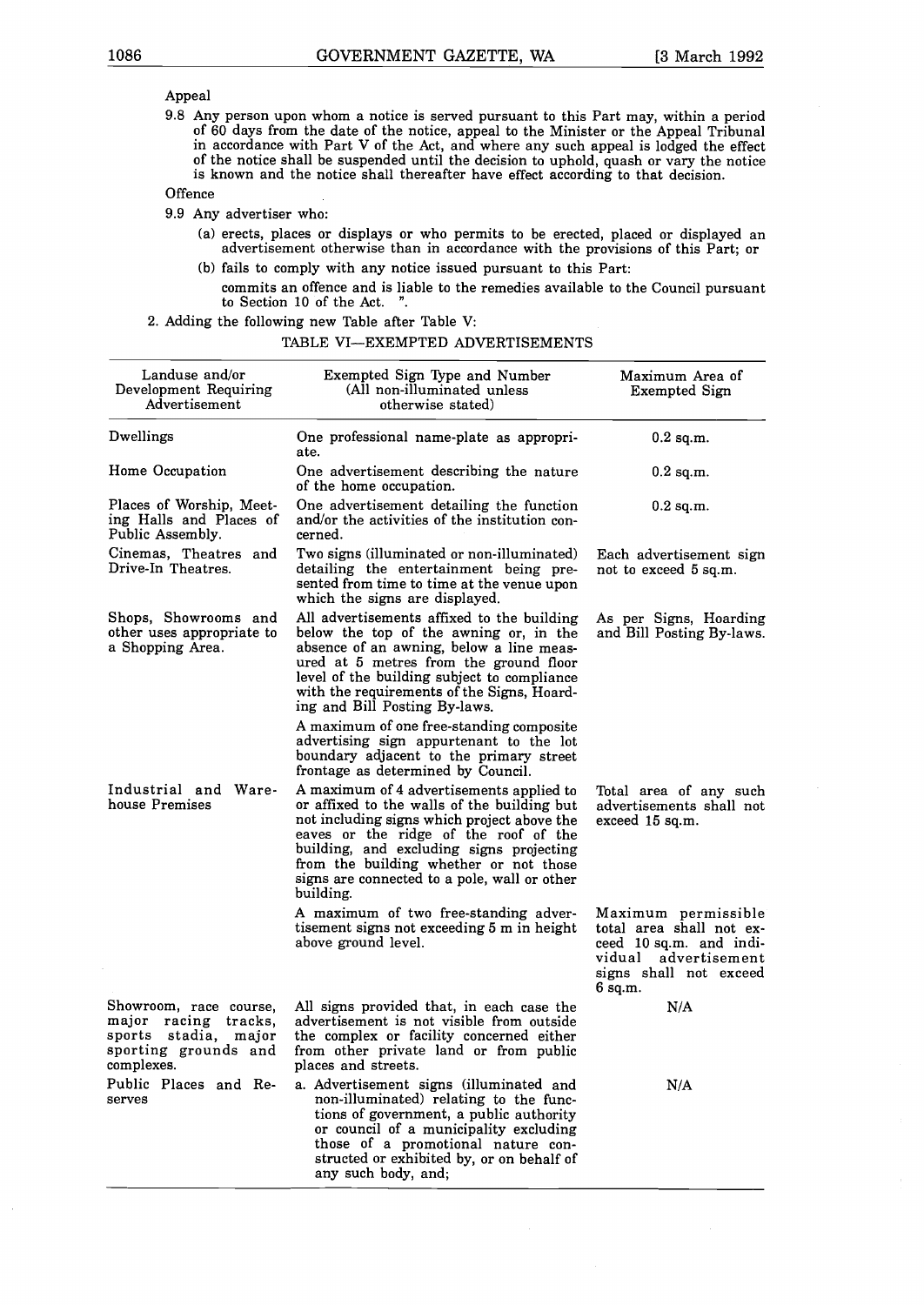#### Appeal

9.8 Any person upon whom a notice is served pursuant to this Part may, within a period of 60 days from the date of the notice, appeal to the Minister or the Appeal Tribunal in accordance with Part V of the Act, and where any such appeal is lodged the effect of the notice shall be suspended until the decision to uphold, quash or vary the notice is known and the notice shall thereafter have effect according to that decision.

#### **Offence**

9.9 Any advertiser who:

- a erects, places or displays or who permits to be erected, placed or displayed an advertisement otherwise than in accordance with the provisions of this Part; or
- b fails to comply with any notice issued pursuant to this Part:
- commits an offence and is liable to the remedies available to the Council pursuant to Section 10 of the Act. ".

|  |  |  | 2. Adding the following new Table after Table V: |  |  |  |  |  |  |
|--|--|--|--------------------------------------------------|--|--|--|--|--|--|
|--|--|--|--------------------------------------------------|--|--|--|--|--|--|

#### TABLE VI-EXEMPTED ADVERTISEMENTS

| Landuse and/or<br>Development Requiring<br>Advertisement                                                              | Exempted Sign Type and Number<br>(All non-illuminated unless<br>otherwise stated)                                                                                                                                                                                                                                                  | Maximum Area of<br>Exempted Sign                                                                                                             |
|-----------------------------------------------------------------------------------------------------------------------|------------------------------------------------------------------------------------------------------------------------------------------------------------------------------------------------------------------------------------------------------------------------------------------------------------------------------------|----------------------------------------------------------------------------------------------------------------------------------------------|
| Dwellings                                                                                                             | One professional name-plate as appropri-<br>ate.                                                                                                                                                                                                                                                                                   | $0.2$ sq.m.                                                                                                                                  |
| Home Occupation                                                                                                       | One advertisement describing the nature<br>of the home occupation.                                                                                                                                                                                                                                                                 | $0.2$ sq.m.                                                                                                                                  |
| Places of Worship, Meet-<br>ing Halls and Places of<br>Public Assembly.                                               | One advertisement detailing the function<br>and/or the activities of the institution con-<br>cerned.                                                                                                                                                                                                                               | $0.2$ sq.m.                                                                                                                                  |
| Cinemas, Theatres and<br>Drive-In Theatres.                                                                           | Two signs (illuminated or non-illuminated)<br>detailing the entertainment being pre-<br>sented from time to time at the venue upon<br>which the signs are displayed.                                                                                                                                                               | Each advertisement sign<br>not to exceed 5 sq.m.                                                                                             |
| Shops, Showrooms and<br>other uses appropriate to<br>a Shopping Area.                                                 | All advertisements affixed to the building<br>below the top of the awning or, in the<br>absence of an awning, below a line meas-<br>ured at 5 metres from the ground floor<br>level of the building subject to compliance<br>with the requirements of the Signs, Hoard-<br>ing and Bill Posting By-laws.                           | As per Signs, Hoarding<br>and Bill Posting By-laws.                                                                                          |
|                                                                                                                       | A maximum of one free-standing composite<br>advertising sign appurtenant to the lot<br>boundary adjacent to the primary street<br>frontage as determined by Council.                                                                                                                                                               |                                                                                                                                              |
| Industrial and Ware-<br>house Premises                                                                                | A maximum of 4 advertisements applied to<br>or affixed to the walls of the building but<br>not including signs which project above the<br>eaves or the ridge of the roof of the<br>building, and excluding signs projecting<br>from the building whether or not those<br>signs are connected to a pole, wall or other<br>building. | Total area of any such<br>advertisements shall not<br>exceed 15 sq.m.                                                                        |
|                                                                                                                       | A maximum of two free-standing adver-<br>tisement signs not exceeding 5 m in height<br>above ground level.                                                                                                                                                                                                                         | Maximum permissible<br>total area shall not ex-<br>ceed 10 sq.m. and indi-<br>vidual<br>advertisement<br>signs shall not exceed<br>$6$ sq.m. |
| Showroom, race course,<br>major<br>racing<br>tracks,<br>sports stadia,<br>major<br>sporting grounds and<br>complexes. | All signs provided that, in each case the<br>advertisement is not visible from outside<br>the complex or facility concerned either<br>from other private land or from public<br>places and streets.                                                                                                                                | N/A                                                                                                                                          |
| Public Places and Re-<br>serves                                                                                       | a. Advertisement signs (illuminated and<br>non-illuminated) relating to the func-<br>tions of government, a public authority<br>or council of a municipality excluding<br>those of a promotional nature con-<br>structed or exhibited by, or on behalf of<br>any such body, and;                                                   | N/A                                                                                                                                          |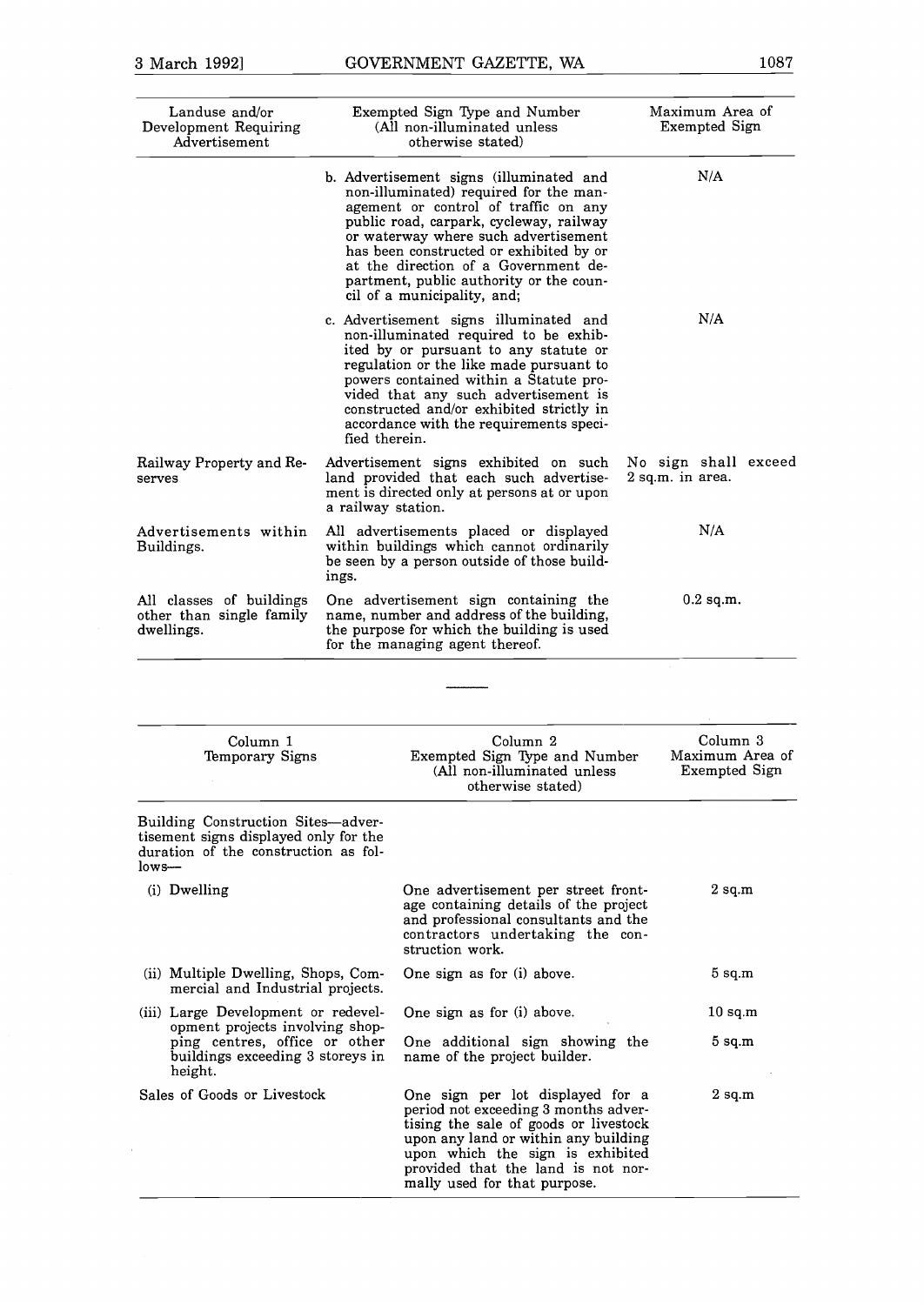| Landuse and/or<br>Development Requiring<br>Advertisement           | Exempted Sign Type and Number<br>(All non-illuminated unless<br>otherwise stated)                                                                                                                                                                                                                                                                                         | Maximum Area of<br><b>Exempted Sign</b>  |  |
|--------------------------------------------------------------------|---------------------------------------------------------------------------------------------------------------------------------------------------------------------------------------------------------------------------------------------------------------------------------------------------------------------------------------------------------------------------|------------------------------------------|--|
|                                                                    | b. Advertisement signs (illuminated and<br>non-illuminated) required for the man-<br>agement or control of traffic on any<br>public road, carpark, cycleway, railway<br>or waterway where such advertisement<br>has been constructed or exhibited by or<br>at the direction of a Government de-<br>partment, public authority or the coun-<br>cil of a municipality, and; | N/A                                      |  |
|                                                                    | c. Advertisement signs illuminated and<br>non-illuminated required to be exhib-<br>ited by or pursuant to any statute or<br>regulation or the like made pursuant to<br>powers contained within a Statute pro-<br>vided that any such advertisement is<br>constructed and/or exhibited strictly in<br>accordance with the requirements speci-<br>fied therein.             | N/A                                      |  |
| Railway Property and Re-<br>serves                                 | Advertisement signs exhibited on such<br>land provided that each such advertise-<br>ment is directed only at persons at or upon<br>a railway station.                                                                                                                                                                                                                     | No sign shall exceed<br>2 sq.m. in area. |  |
| Advertisements within<br>Buildings.                                | All advertisements placed or displayed<br>within buildings which cannot ordinarily<br>be seen by a person outside of those build-<br>ings.                                                                                                                                                                                                                                | N/A                                      |  |
| All classes of buildings<br>other than single family<br>dwellings. | One advertisement sign containing the<br>name, number and address of the building,<br>the purpose for which the building is used<br>for the managing agent thereof.                                                                                                                                                                                                       | $0.2$ sq.m.                              |  |
|                                                                    |                                                                                                                                                                                                                                                                                                                                                                           |                                          |  |

| Column 1<br>Temporary Signs                                                                                                    | Column <sub>2</sub><br>Exempted Sign Type and Number<br>(All non-illuminated unless<br>otherwise stated)                                                                                                                                                            | Column 3<br>Maximum Area of<br>Exempted Sign |
|--------------------------------------------------------------------------------------------------------------------------------|---------------------------------------------------------------------------------------------------------------------------------------------------------------------------------------------------------------------------------------------------------------------|----------------------------------------------|
| Building Construction Sites—adver-<br>tisement signs displayed only for the<br>duration of the construction as fol-<br>$low -$ |                                                                                                                                                                                                                                                                     |                                              |
| (i) Dwelling                                                                                                                   | One advertisement per street front-<br>age containing details of the project<br>and professional consultants and the<br>contractors undertaking the con-<br>struction work.                                                                                         | $2 \text{ sq.m}$                             |
| (ii) Multiple Dwelling, Shops, Com-<br>mercial and Industrial projects.                                                        | One sign as for (i) above.                                                                                                                                                                                                                                          | $5 \text{ sq.m}$                             |
| (iii) Large Development or redevel-                                                                                            | One sign as for (i) above.                                                                                                                                                                                                                                          | $10 \text{ sq.m}$                            |
| opment projects involving shop-<br>ping centres, office or other<br>buildings exceeding 3 storeys in<br>height.                | One additional sign showing the<br>name of the project builder.                                                                                                                                                                                                     | $5 \text{ sq.m}$                             |
| Sales of Goods or Livestock                                                                                                    | One sign per lot displayed for a<br>period not exceeding 3 months adver-<br>tising the sale of goods or livestock<br>upon any land or within any building<br>upon which the sign is exhibited<br>provided that the land is not nor-<br>mally used for that purpose. | $2 \text{ sq.m}$                             |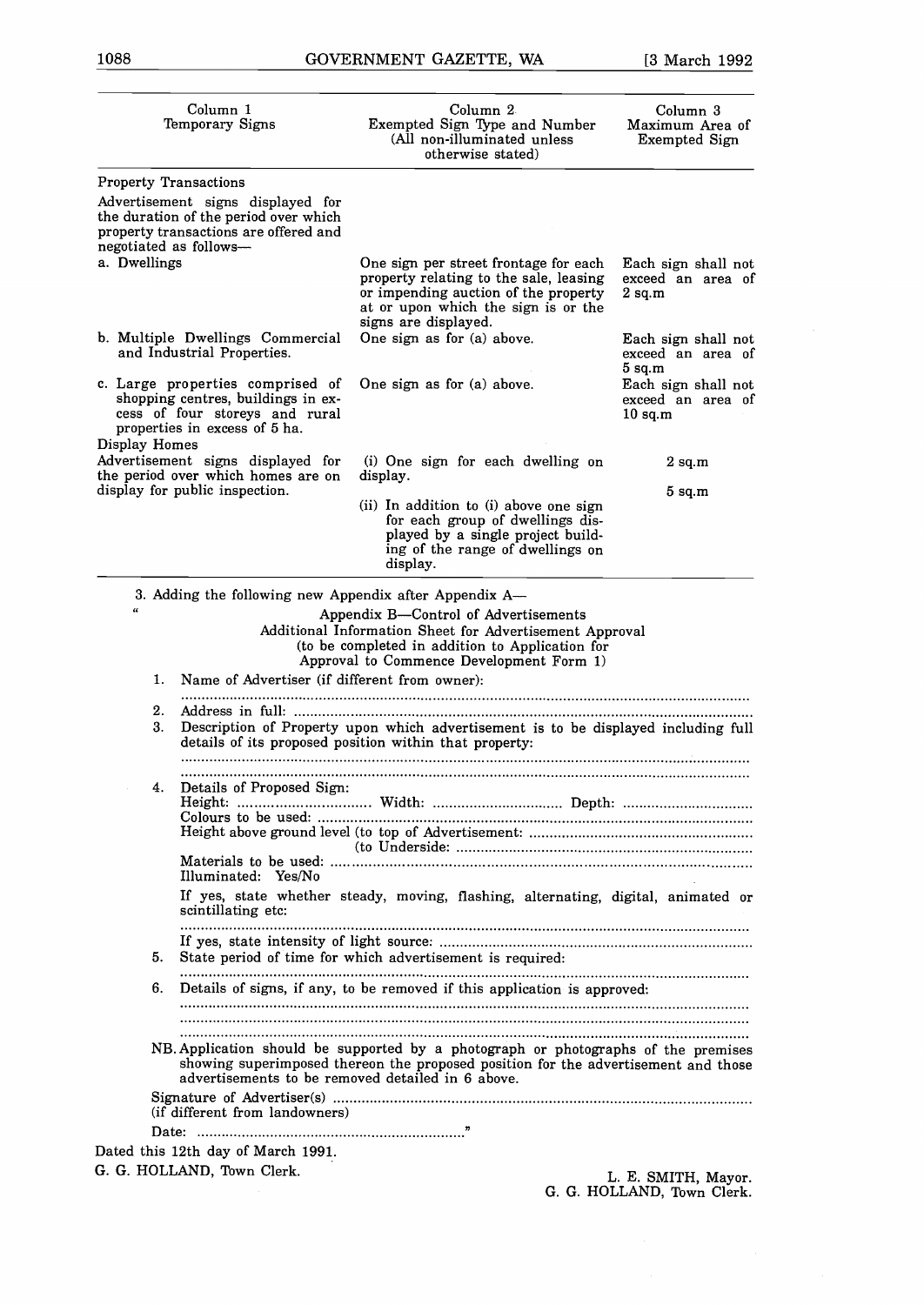G. G. HOLLAND, Town Clerk.

| Column 1<br>Temporary Signs                                                                                                                                | Column 2<br>Exempted Sign Type and Number<br>(All non-illuminated unless<br>otherwise stated)                                                                                                                                                | Column 3<br>Maximum Area of<br>Exempted Sign          |
|------------------------------------------------------------------------------------------------------------------------------------------------------------|----------------------------------------------------------------------------------------------------------------------------------------------------------------------------------------------------------------------------------------------|-------------------------------------------------------|
| <b>Property Transactions</b>                                                                                                                               |                                                                                                                                                                                                                                              |                                                       |
| Advertisement signs displayed for<br>the duration of the period over which<br>property transactions are offered and<br>negotiated as follows-              |                                                                                                                                                                                                                                              |                                                       |
| a. Dwellings                                                                                                                                               | One sign per street frontage for each<br>property relating to the sale, leasing<br>or impending auction of the property<br>at or upon which the sign is or the<br>signs are displayed.                                                       | Each sign shall not<br>exceed an area of<br>$2$ sq.m  |
| b. Multiple Dwellings Commercial<br>and Industrial Properties.                                                                                             | One sign as for (a) above.                                                                                                                                                                                                                   | Each sign shall not<br>exceed an area of<br>$5$ sq.m  |
| c. Large properties comprised of<br>shopping centres, buildings in ex-<br>cess of four storeys and rural<br>properties in excess of 5 ha.<br>Display Homes | One sign as for (a) above.                                                                                                                                                                                                                   | Each sign shall not<br>exceed an area of<br>$10$ sq.m |
| Advertisement signs displayed for<br>the period over which homes are on                                                                                    | (i) One sign for each dwelling on<br>display.                                                                                                                                                                                                | $2 \text{ sq.m}$                                      |
| display for public inspection.                                                                                                                             | (ii) In addition to (i) above one sign<br>for each group of dwellings dis-<br>played by a single project build-<br>ing of the range of dwellings on<br>display.                                                                              | $5$ sq.m                                              |
| 3. Adding the following new Appendix after Appendix A-                                                                                                     |                                                                                                                                                                                                                                              |                                                       |
| Name of Advertiser (if different from owner):<br>1.<br>2.<br>3.                                                                                            | Additional Information Sheet for Advertisement Approval<br>(to be completed in addition to Application for<br>Approval to Commence Development Form 1)<br>Description of Property upon which advertisement is to be displayed including full |                                                       |
|                                                                                                                                                            | details of its proposed position within that property:                                                                                                                                                                                       |                                                       |
| Details of Proposed Sign:<br>4.                                                                                                                            |                                                                                                                                                                                                                                              |                                                       |
| Illuminated: Yes/No                                                                                                                                        |                                                                                                                                                                                                                                              |                                                       |
| scintillating etc:                                                                                                                                         | If yes, state whether steady, moving, flashing, alternating, digital, animated or                                                                                                                                                            |                                                       |
| 5.                                                                                                                                                         | State period of time for which advertisement is required:                                                                                                                                                                                    |                                                       |
| 6.                                                                                                                                                         | Details of signs, if any, to be removed if this application is approved:                                                                                                                                                                     |                                                       |
|                                                                                                                                                            | NB. Application should be supported by a photograph or photographs of the premises<br>showing superimposed thereon the proposed position for the advertisement and those<br>advertisements to be removed detailed in 6 above.                |                                                       |
| (if different from landowners)                                                                                                                             |                                                                                                                                                                                                                                              |                                                       |
| Dated this 12th day of March 1991.                                                                                                                         |                                                                                                                                                                                                                                              |                                                       |
| G. G. HOLLAND, Town Clerk.                                                                                                                                 |                                                                                                                                                                                                                                              | L. E. SMITH, Mayor.                                   |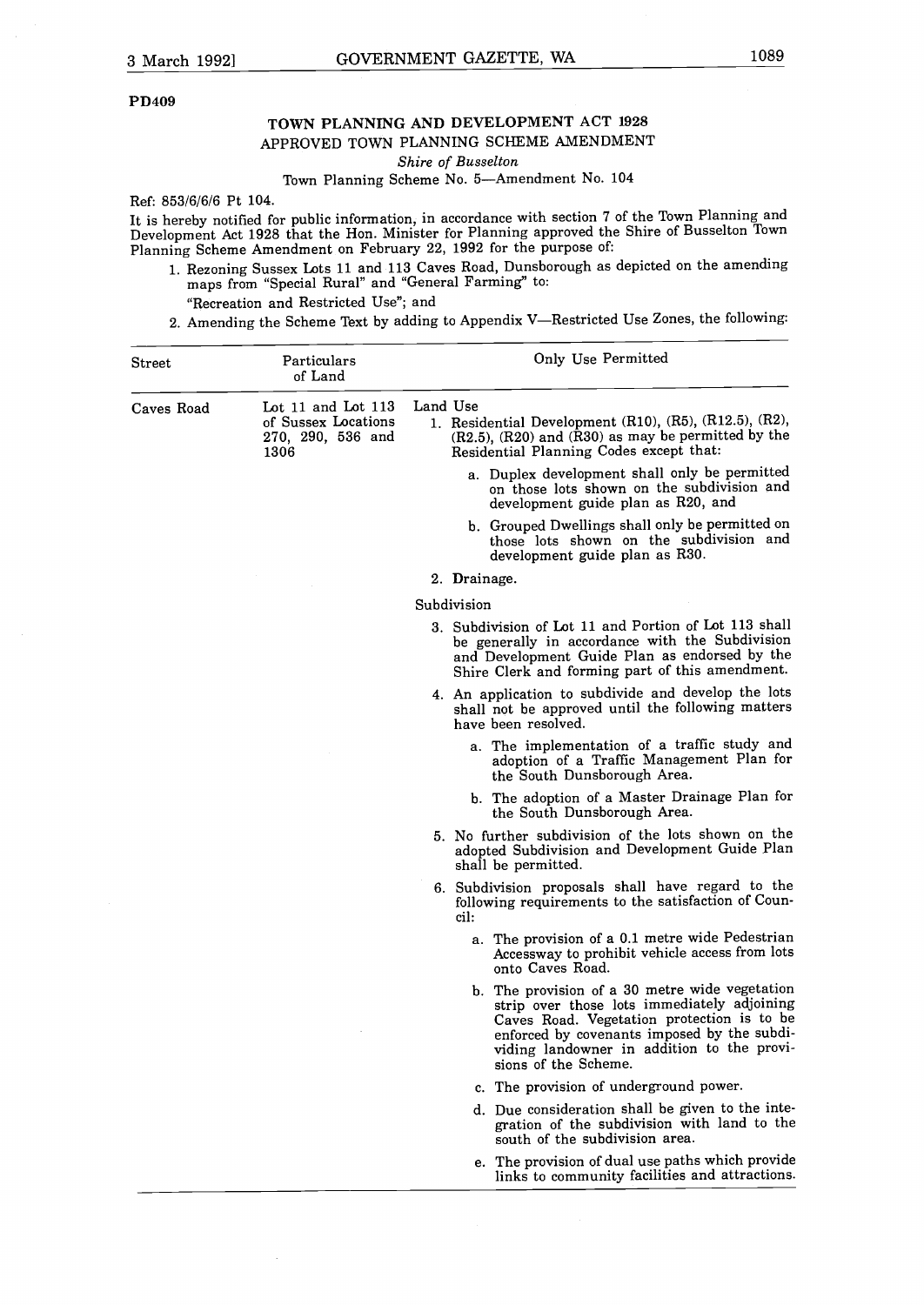#### **PD409**

# **TOWN PLANNING AND DEVELOPMENT ACT 1928** APPROVED TOWN PLANNING SCHEME AMENDMENT

*Shire of Busselton*

# Town Planning Scheme No. 5-Amendment No. 104

Ref: 853/6/6/6 Pt 104.

It is hereby notified for public information, in accordance with section 7 of the Town Planning and Development Act 1928 that the Hon. Minister for Planning approved the Shire of Busselton Town Planning Scheme Amendment on February 22, 1992 for the purpose of:

1. Rezoning Sussex Lots <sup>11</sup> and 113 Caves Road, Dunsborough as depicted on the amending maps from "Special Rural" and "General Farming" to:

#### "Recreation and Restricted Use"; and

2. Amending the Scheme Text by adding to Appendix V-Restricted Use Zones, the following:

| ${\rm Street}$ | Particulars<br>of Land                                                 | Only Use Permitted                                                                                                                                                                                                                                               |
|----------------|------------------------------------------------------------------------|------------------------------------------------------------------------------------------------------------------------------------------------------------------------------------------------------------------------------------------------------------------|
| Caves Road     | Lot 11 and Lot 113<br>of Sussex Locations<br>270, 290, 536 and<br>1306 | Land Use<br>1. Residential Development (R10), (R5), (R12.5), (R2),<br>$(R2.5)$ , $(R20)$ and $(R30)$ as may be permitted by the<br>Residential Planning Codes except that:                                                                                       |
|                |                                                                        | a. Duplex development shall only be permitted<br>on those lots shown on the subdivision and<br>development guide plan as R20, and                                                                                                                                |
|                |                                                                        | b. Grouped Dwellings shall only be permitted on<br>those lots shown on the subdivision and<br>development guide plan as R30.                                                                                                                                     |
|                |                                                                        | 2. Drainage.                                                                                                                                                                                                                                                     |
|                |                                                                        | Subdivision                                                                                                                                                                                                                                                      |
|                |                                                                        | 3. Subdivision of Lot 11 and Portion of Lot 113 shall<br>be generally in accordance with the Subdivision<br>and Development Guide Plan as endorsed by the<br>Shire Clerk and forming part of this amendment.                                                     |
|                |                                                                        | 4. An application to subdivide and develop the lots<br>shall not be approved until the following matters<br>have been resolved.                                                                                                                                  |
|                |                                                                        | a. The implementation of a traffic study and<br>adoption of a Traffic Management Plan for<br>the South Dunsborough Area.                                                                                                                                         |
|                |                                                                        | b. The adoption of a Master Drainage Plan for<br>the South Dunsborough Area.                                                                                                                                                                                     |
|                |                                                                        | 5. No further subdivision of the lots shown on the<br>adopted Subdivision and Development Guide Plan<br>shall be permitted.                                                                                                                                      |
|                |                                                                        | 6. Subdivision proposals shall have regard to the<br>following requirements to the satisfaction of Coun-<br>cil:                                                                                                                                                 |
|                |                                                                        | a. The provision of a 0.1 metre wide Pedestrian<br>Accessway to prohibit vehicle access from lots<br>onto Caves Road.                                                                                                                                            |
|                |                                                                        | b. The provision of a 30 metre wide vegetation<br>strip over those lots immediately adjoining<br>Caves Road. Vegetation protection is to be<br>enforced by covenants imposed by the subdi-<br>viding landowner in addition to the provi-<br>sions of the Scheme. |
|                |                                                                        | c. The provision of underground power.                                                                                                                                                                                                                           |
|                |                                                                        | d. Due consideration shall be given to the inte-<br>gration of the subdivision with land to the<br>south of the subdivision area.                                                                                                                                |
|                |                                                                        | e. The provision of dual use paths which provide<br>links to community facilities and attractions.                                                                                                                                                               |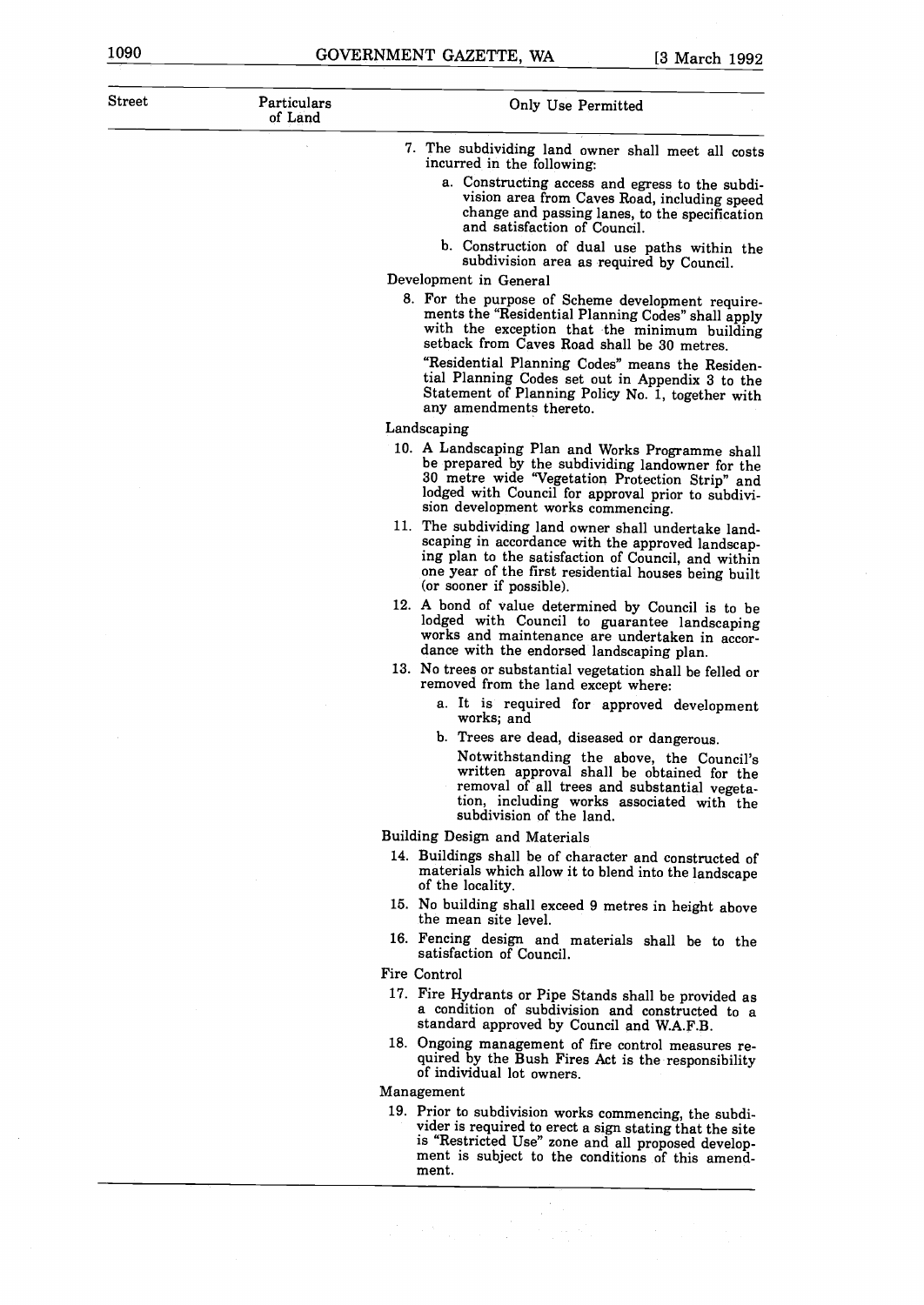| Street | Particulars<br>of Land | Only Use Permitted                                                                                                                                                                                                                                           |
|--------|------------------------|--------------------------------------------------------------------------------------------------------------------------------------------------------------------------------------------------------------------------------------------------------------|
|        |                        | 7. The subdividing land owner shall meet all costs<br>incurred in the following:                                                                                                                                                                             |
|        |                        | a. Constructing access and egress to the subdi-<br>vision area from Caves Road, including speed<br>change and passing lanes, to the specification<br>and satisfaction of Council.                                                                            |
|        |                        | b. Construction of dual use paths within the<br>subdivision area as required by Council.<br>Development in General                                                                                                                                           |
|        |                        | 8. For the purpose of Scheme development require-                                                                                                                                                                                                            |
|        |                        | ments the "Residential Planning Codes" shall apply<br>with the exception that the minimum building<br>setback from Caves Road shall be 30 metres.                                                                                                            |
|        |                        | "Residential Planning Codes" means the Residen-<br>tial Planning Codes set out in Appendix 3 to the<br>Statement of Planning Policy No. 1, together with<br>any amendments thereto.                                                                          |
|        |                        | Landscaping                                                                                                                                                                                                                                                  |
|        |                        | 10. A Landscaping Plan and Works Programme shall<br>be prepared by the subdividing landowner for the<br>30 metre wide "Vegetation Protection Strip" and<br>lodged with Council for approval prior to subdivi-<br>sion development works commencing.          |
|        |                        | 11. The subdividing land owner shall undertake land-<br>scaping in accordance with the approved landscap-<br>ing plan to the satisfaction of Council, and within<br>one year of the first residential houses being built<br>(or sooner if possible).         |
|        |                        | 12. A bond of value determined by Council is to be<br>lodged with Council to guarantee landscaping<br>works and maintenance are undertaken in accor-<br>dance with the endorsed landscaping plan.                                                            |
|        |                        | 13. No trees or substantial vegetation shall be felled or<br>removed from the land except where:                                                                                                                                                             |
|        |                        | a. It is required for approved development<br>works; and                                                                                                                                                                                                     |
|        |                        | b. Trees are dead, diseased or dangerous.<br>Notwithstanding the above, the Council's<br>written approval shall be obtained for the<br>removal of all trees and substantial vegeta-<br>tion, including works associated with the<br>subdivision of the land. |
|        |                        | Building Design and Materials                                                                                                                                                                                                                                |
|        |                        | 14. Buildings shall be of character and constructed of<br>materials which allow it to blend into the landscape<br>of the locality.                                                                                                                           |
|        |                        | 15. No building shall exceed 9 metres in height above<br>the mean site level.                                                                                                                                                                                |
|        |                        | 16. Fencing design and materials shall be to the<br>satisfaction of Council.                                                                                                                                                                                 |
|        |                        | Fire Control                                                                                                                                                                                                                                                 |
|        |                        | 17. Fire Hydrants or Pipe Stands shall be provided as<br>a condition of subdivision and constructed to a<br>standard approved by Council and W.A.F.B.                                                                                                        |
|        |                        | 18. Ongoing management of fire control measures re-<br>quired by the Bush Fires Act is the responsibility<br>of individual lot owners.                                                                                                                       |
|        |                        | Management                                                                                                                                                                                                                                                   |
|        |                        | 19. Prior to subdivision works commencing, the subdi-<br>vider is required to erect a sign stating that the site<br>is "Restricted Use" zone and all proposed develop-<br>ment is subject to the conditions of this amend-<br>ment.                          |

 $\sim$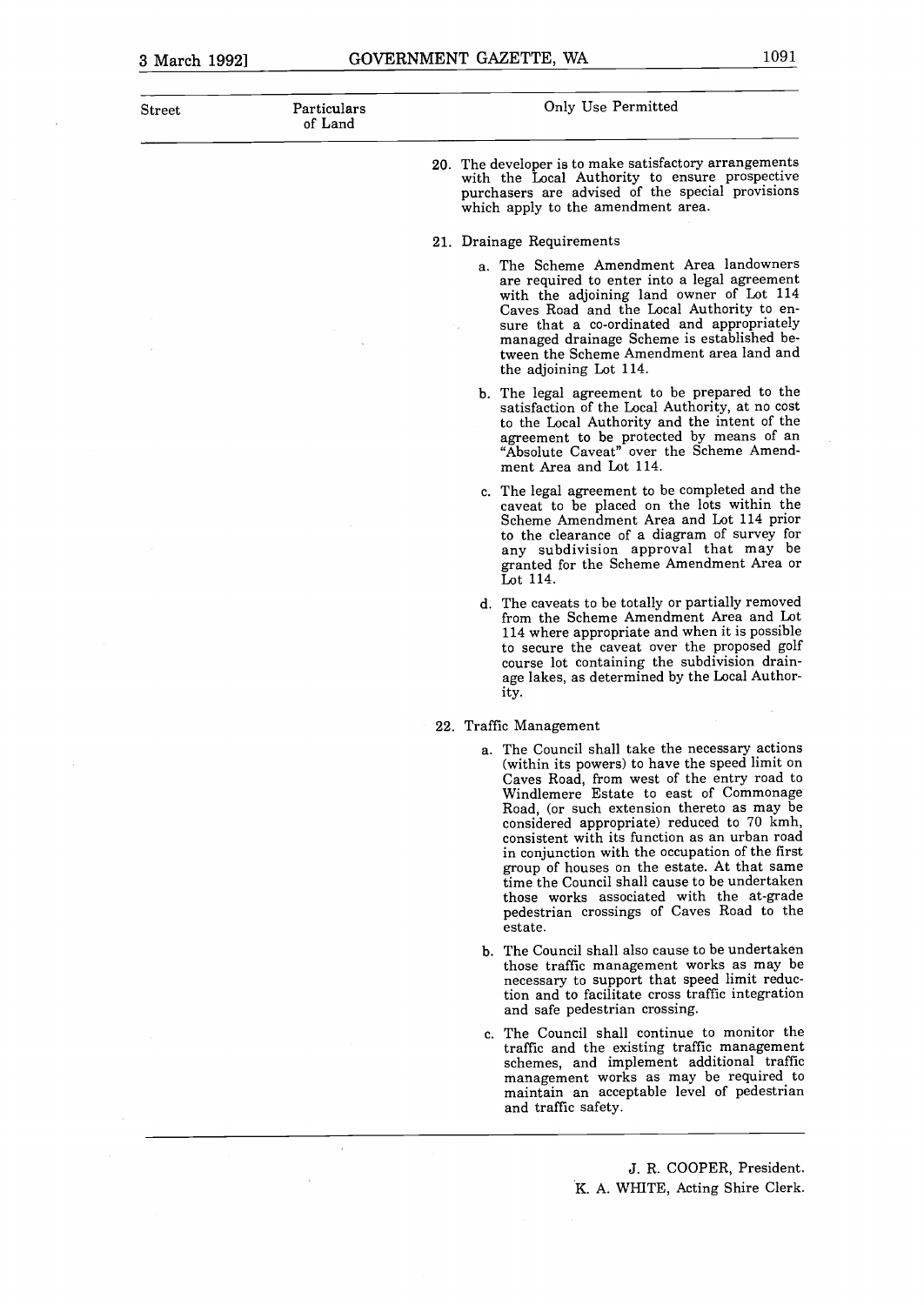$\hat{\boldsymbol{\theta}}$ 

| ${\rm Street}$ | Particulars<br>of Land | Only Use Permitted                                                                                                                                                                                                                                                                                                                                                                                                                                                                                                                                                                            |
|----------------|------------------------|-----------------------------------------------------------------------------------------------------------------------------------------------------------------------------------------------------------------------------------------------------------------------------------------------------------------------------------------------------------------------------------------------------------------------------------------------------------------------------------------------------------------------------------------------------------------------------------------------|
|                |                        | 20. The developer is to make satisfactory arrangements<br>with the Local Authority to ensure prospective<br>purchasers are advised of the special provisions<br>which apply to the amendment area.                                                                                                                                                                                                                                                                                                                                                                                            |
|                |                        | 21. Drainage Requirements                                                                                                                                                                                                                                                                                                                                                                                                                                                                                                                                                                     |
|                |                        | a. The Scheme Amendment Area landowners<br>are required to enter into a legal agreement<br>with the adjoining land owner of Lot 114<br>Caves Road and the Local Authority to en-<br>sure that a co-ordinated and appropriately<br>managed drainage Scheme is established be-<br>tween the Scheme Amendment area land and<br>the adjoining Lot 114.                                                                                                                                                                                                                                            |
|                |                        | b. The legal agreement to be prepared to the<br>satisfaction of the Local Authority, at no cost<br>to the Local Authority and the intent of the<br>agreement to be protected by means of an<br>"Absolute Caveat" over the Scheme Amend-<br>ment Area and Lot 114.                                                                                                                                                                                                                                                                                                                             |
|                |                        | c. The legal agreement to be completed and the<br>caveat to be placed on the lots within the<br>Scheme Amendment Area and Lot 114 prior<br>to the clearance of a diagram of survey for<br>any subdivision approval that may be<br>granted for the Scheme Amendment Area or<br>Lot 114.                                                                                                                                                                                                                                                                                                        |
|                |                        | d. The caveats to be totally or partially removed<br>from the Scheme Amendment Area and Lot<br>114 where appropriate and when it is possible<br>to secure the caveat over the proposed golf<br>course lot containing the subdivision drain-<br>age lakes, as determined by the Local Author-<br>ity.                                                                                                                                                                                                                                                                                          |
|                |                        | 22. Traffic Management                                                                                                                                                                                                                                                                                                                                                                                                                                                                                                                                                                        |
|                |                        | a. The Council shall take the necessary actions<br>(within its powers) to have the speed limit on<br>Caves Road, from west of the entry road to<br>Windlemere Estate to east of Commonage<br>Road, (or such extension thereto as may be<br>considered appropriate) reduced to 70 kmh,<br>consistent with its function as an urban road<br>in conjunction with the occupation of the first<br>group of houses on the estate. At that same<br>time the Council shall cause to be undertaken<br>those works associated with the at-grade<br>pedestrian crossings of Caves Road to the<br>estate. |
|                |                        | b. The Council shall also cause to be undertaken<br>those traffic management works as may be<br>necessary to support that speed limit reduc-<br>tion and to facilitate cross traffic integration<br>and safe pedestrian crossing.                                                                                                                                                                                                                                                                                                                                                             |
|                |                        | c. The Council shall continue to monitor the<br>traffic and the existing traffic management<br>schemes, and implement additional traffic<br>management works as may be required to                                                                                                                                                                                                                                                                                                                                                                                                            |

J. R. COOPER, President. K. A. WHITE, Acting Shire Clerk.

maintain an acceptable level of pedestrian

and traffic safety.

 $\hat{\mathcal{L}}$ 

 $\ddot{\phantom{0}}$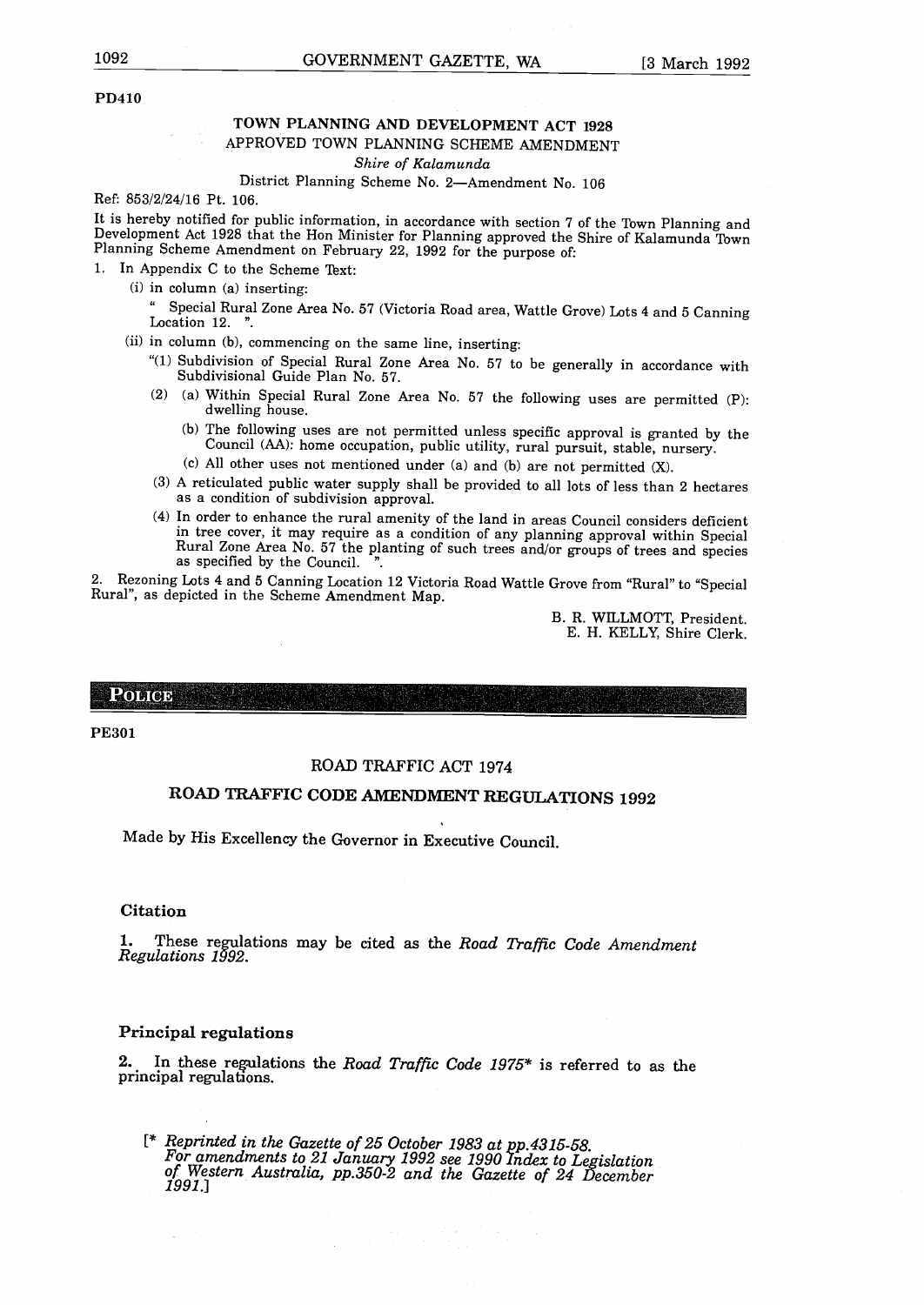#### TOWN PLANNING AND DEVELOPMENT ACT 1928 APPROVED TOWN PLANNING SCHEME AMENDMENT

*Shire of Kalamunda*

#### District Planning Scheme No. 2-Amendment No. 106

Ref: 853/2/24/16 Pt. 106.

It is hereby notified for public information, in accordance with section <sup>7</sup> of the Town Planning and Development Act 1928 that the Hon Minister for Planning approved the Shire of Kalamunda Town Planning Scheme Amendment on February 22, 1992 for the purpose of:

1. In Appendix C to the Scheme Text:

- $(i)$  in column  $(a)$  inserting:
	- Special Rural Zone Area No. 57 (Victoria Road area, Wattle Grove) Lots 4 and 5 Canning Location 12. ".
- $(ii)$  in column  $(b)$ , commencing on the same line, inserting:
	- " $(1)$  Subdivision of Special Rural Zone Area No. 57 to be generally in accordance with Subdivisional Guide Plan No. 57.
	- (2) (a) Within Special Rural Zone Area No. 57 the following uses are permitted  $(P)$ : dwelling house.
		- b The following uses are not permitted unless specific approval is granted by the Council AA: home occupation, public utility, rural pursuit, stable, nursery.
		- (c) All other uses not mentioned under (a) and (b) are not permitted  $(X)$ .
	- 3 <sup>A</sup> reticulated public water supply shall be provided to all lots of less than <sup>2</sup> hectares as a condition of subdivision approval.
	- 4 In order to enhance the rural amenity of the land in areas Council considers deficient in tree cover, it may require as a condition of any planning approval within Special Rural Zone Area No. 57 the planting of such trees and/or groups of trees and species as specified by the Council.

2. Rezoning Lots 4 and <sup>5</sup> Canning Location 12 Victoria Road Wattle Grove from "Rural" to "Special Rural", as depicted in the Scheme Amendment Map.

> B. R. WILLMOTT, President. E. H. KELLY, Shire Clerk.

**POLICE** 

PE3O1

#### ROAD TRAFFIC ACT 1974

# ROAD TRAFFIC **CODE** AMENDMENT REGULATIONS 1992

Made by His Excellency the Governor in Executive Council.

#### Citation

1. These regulations may be cited as the *Road Traffic Code Amendment Regulations 1992,*

#### Principal regulations

2. In these reulations the *Road Traffic Code 1975\** is referred to as the principal regulations.

[\* *Reprinted in the Gazette of 25 October 1983 at pp.4315-58.* For amendments to 21 January 1992 see 1990 Index to Legislation<br>of Western Australia, pp.350-2 and the Gazette of 24 December *1991.1*

 $\mathcal{E}=\mathcal{L}$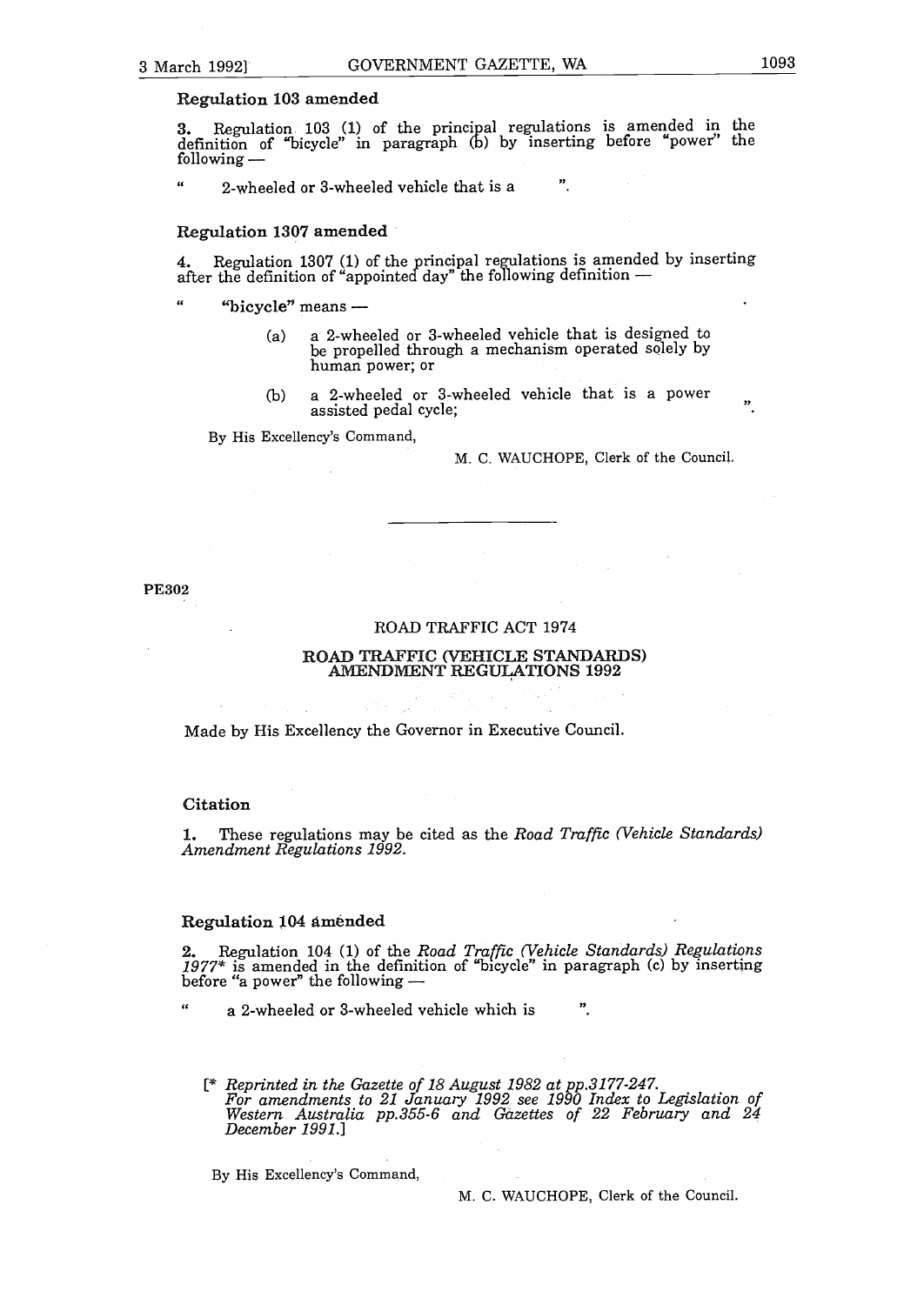#### Regulation 103 amended

**3.** Regulation 103 (1) of the principal regulations is amended in the definition of "bicycle" in paragraph (b) by inserting before "power" the following -

 $\alpha$ 2-wheeled or 3-wheeled vehicle that is a

#### Regulation 1307 amended

4. Regulation 1307 (1) of the principal regulations is amended by inserting after the definition of "appointed day" the following definition -

 $\alpha$ "bicycle" means  $-$ 

- a <sup>a</sup> 2-wheeled or 3-wheeled vehicle that is designed to be propelled through a mechanism operated solely by human power; or
- b <sup>a</sup> 2-wheeled or 3-wheeled vehicle that is <sup>a</sup> power  $\, \,$ assisted pedal cycle;

By His Excellency's Command,

M. C. WAUCHOPE, Clerk of the Council.

 $\boldsymbol{v}$ 

PE302

#### ROAD TRAFFIC ACT 1974

#### ROAD TRAFFIC VEHICLE STANDARDS AMENDMENT REGULATIONS 1992

Made by His Excellency the Governor in Executive Council.

#### Citation

 $\epsilon$ 

1. These regulations may be cited as the *Road Traffic Vehicle Standards Amendment Regulations 1992.*

#### Regulation 104 amended

2. Regulation <sup>104</sup> 1 of the *Road Traffic Vehicle Standards Regulations* 2. The definition of "bicycle" in paragraph (c) by inserting<br>1977\* is amended in the definition of "bicycle" in paragraph (c) by inserting before "a power" the following -

a 2-wheeled or 3-wheeled vehicle which is ".

[\* *Reprinted in the Gazette of 18 August 1982 at pp.3l7'7-247. For amendments to 21 January 1992 see 1990 Index to Legislation of Western Australia pp.355-6 and Gazettes of 22 February and 24 December 1991.]*

By His Excellency's Command,

M. C. WAUCHOPE, Clerk of the Council.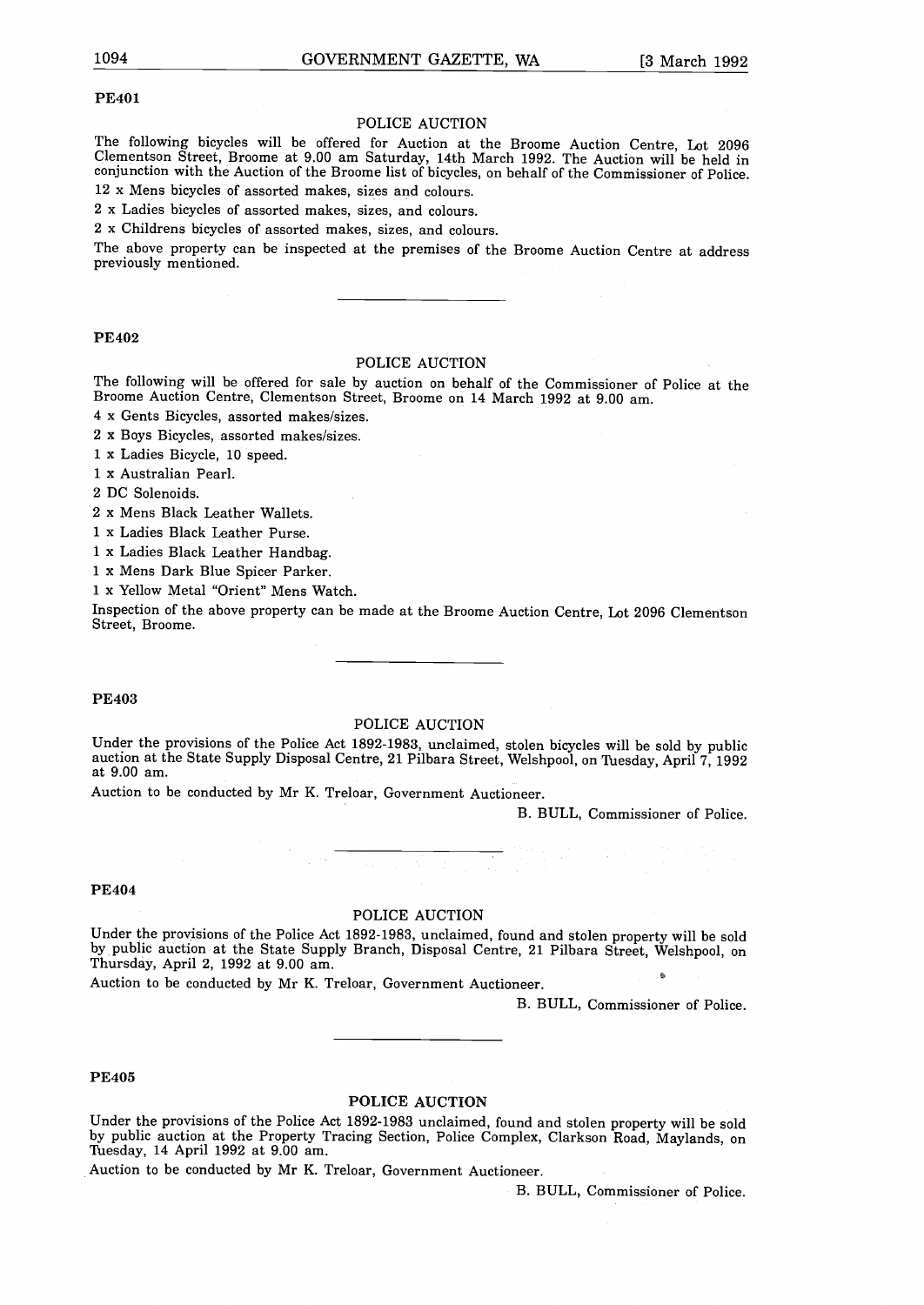#### PE4O1

#### POLICE AUCTION

The following bicycles will be offered for Auction at the Broome Auction Centre, Lot 2096 Clementson Street, Broome at 9.00 am Saturday, 14th March 1992. The Auction will be held in conjunction with the Auction of the Broome list of bicycles, on behalf of the Commissioner of Police. 12 x Mens bicycles of assorted makes, sizes and colours.

<sup>2</sup> x Ladies bicycles of assorted makes, sizes, and colours.

<sup>2</sup> <sup>x</sup> Childrens bicycles of assorted makes, sizes, and colours.

The above property can be inspected at the premises of the Broome Auction Centre at address previously mentioned.

#### PE402

#### POLICE AUCTION

The following will be offered for sale by auction on behalf of the Commissioner of Police at the Broome Auction Centre, Clementson Street, Broome on 14 March 1992 at 9.00 am.

4 x Gents Bicycles, assorted makes/sizes.

<sup>2</sup> x Boys Bicycles, assorted makes/sizes.

<sup>1</sup> x Ladies Bicycle, 10 speed.

<sup>1</sup> x Australian Pearl.

<sup>2</sup> DC Solenoids.

<sup>2</sup> x Mens Black Leather Wallets.

1 x Ladies Black Leather Purse.

<sup>1</sup> x Ladies Black Leather Handbag.

<sup>1</sup> <sup>x</sup> Mens Dark Blue Spicer Parker.

<sup>1</sup> x Yellow Metal "Orient" Mens Watch.

Inspection of the above property can be made at the Broome Auction Centre, Lot 2096 Clementson Street, Broome.

#### PE403

#### POLICE AUCTION

Under the provisions of the Police Act 1892-1983, unclaimed, stolen bicycles will be sold by public auction at the State Supply Disposal Centre, 21 Pilbara Street, Welshpool, on Thesday, April 7, 1992 at 9.00 am.

Auction to be conducted by Mr K. Treloar, Government Auctioneer.

B. BULL, Commissioner of Police.

#### PE404

#### POLICE AUCTION

Under the provisions of the Police Act 1892-1983, unclaimed, found and stolen property will be sold by public auction at the State Supply Branch, Disposal Centre, 21 Pilbara Street, Welshpool, on Thursday, April 2, 1992 at 9.00 am.

Auction to be conducted by Mr K. Treloar, Government Auctioneer.

B. BULL, Commissioner of Police.

#### PE405

#### POLICE AUCTION

Under the provisions of the Police Act 1892-1983 unclaimed, found and stolen property will be sold by public auction at the Property Tracing Section, Police Complex, Clarkson Road, Maylands, on Thesday, 14 April 1992 at 9.00 am.

Auction to be conducted by Mr K. Treloar, Government Auctioneer.

B. BULL, Commissioner of Police.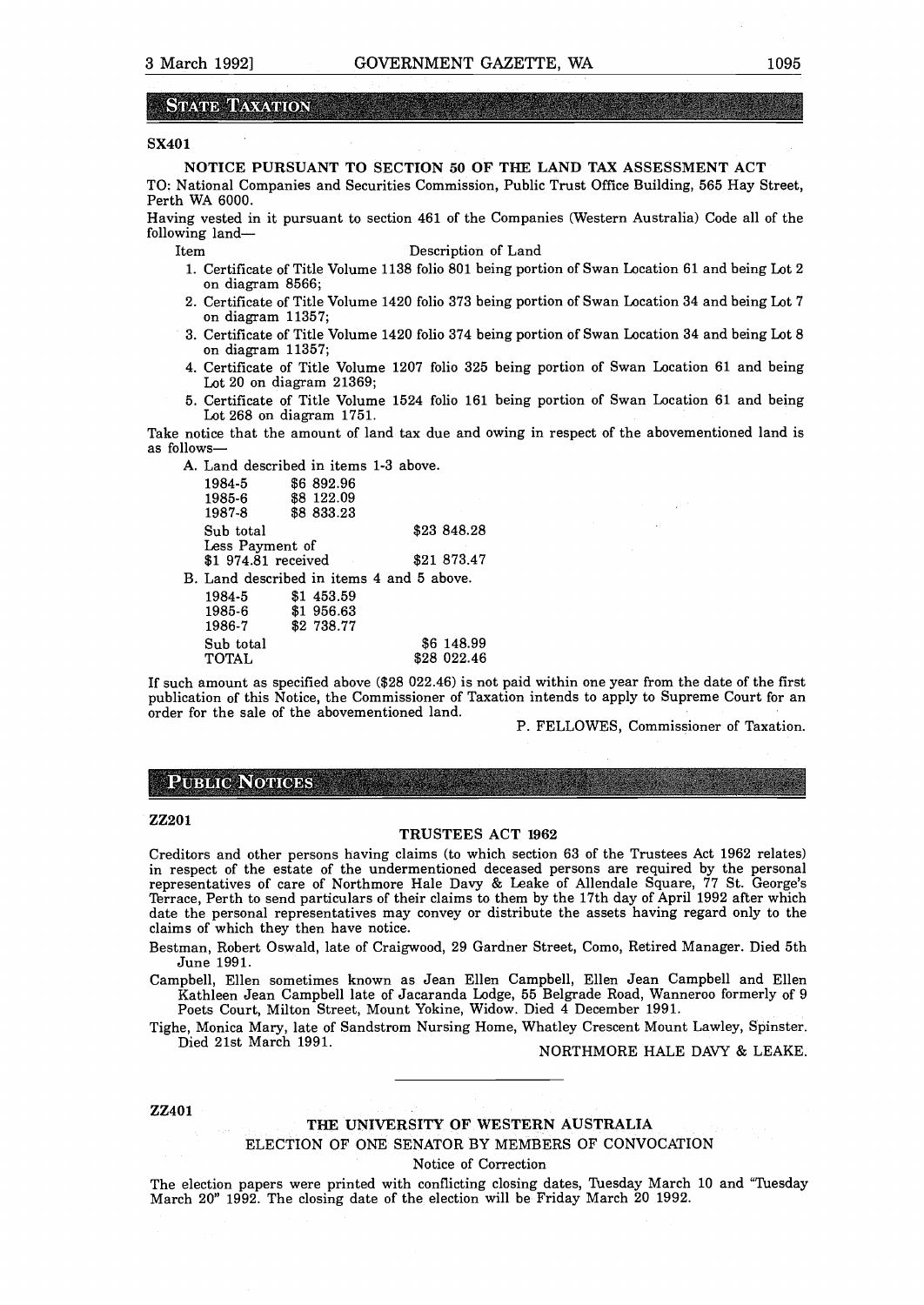#### **STATE TAXATION**

#### SX4O1

NOTICE PURSUANT TO SECTION 50 OF THE LAND TAX ASSESSMENT ACT

TO: National Companies and Securities Commission, Public Trust Office Building, 565 Hay Street, Perth WA 6000.

Having vested in it pursuant to section 461 of the Companies (Western Australia) Code all of the following land-

- Item Description of Land
	- 1. Certificate of Title Volume 1138 folio 801 being portion of Swan Location 61 and being Lot <sup>2</sup> on diagram 8566;
	- 2. Certificate of Title Volume 1420 folio 373 being portion of Swan Location 34 and being Lot <sup>7</sup> on diagram 11357;
- 3. Certificate of Title Volume 1420 folio 374 being portion of Swan Location 34 and being Lot 8 on diagram 11357;
- 4. Certificate of Title Volume 1207 folio 325 being portion of Swan Location 61 and being Lot 20 on diagram 21369;
- 5. Certificate of Title Volume 1524 folio 161 being portion of Swan Location 61 and being Lot 268 on diagram 1751.

Take notice that the amount of land tax due and owing in respect of the abovementioned land is as follows-

A. Land described in items 1-3 above.

| 1984-5    |                                  |                                                                                                                          |                                           |
|-----------|----------------------------------|--------------------------------------------------------------------------------------------------------------------------|-------------------------------------------|
|           |                                  |                                                                                                                          |                                           |
|           |                                  |                                                                                                                          |                                           |
| Sub total |                                  |                                                                                                                          | \$23 848.28                               |
|           |                                  |                                                                                                                          |                                           |
|           |                                  |                                                                                                                          | \$21 873.47                               |
|           |                                  |                                                                                                                          |                                           |
| 1984-5    |                                  |                                                                                                                          |                                           |
| 1985-6    |                                  |                                                                                                                          |                                           |
| 1986-7    |                                  |                                                                                                                          |                                           |
| Sub total |                                  |                                                                                                                          | \$6 148.99                                |
|           |                                  |                                                                                                                          | \$28 022.46                               |
|           | 1985-6<br>1987-8<br><b>TOTAL</b> | \$6892.96<br>\$8 122.09<br>\$8 833.23<br>Less Payment of<br>\$1 974.81 received<br>\$1 453.59<br>\$1956.63<br>\$2 738.77 | B. Land described in items 4 and 5 above. |

If such amount as specified above  $(\$28 022.46)$  is not paid within one year from the date of the first publication of this Notice, the Commissioner of Taxation intends to apply to Supreme Court for an order for the sale of the abovementioned land.

P. FELLOWES, Commissioner of Taxation.

# **PUBLIC NOTICES**

#### ZZ2O1

#### TRUSTEES ACT 1962

Creditors and other persons having claims (to which section 63 of the Trustees Act 1962 relates) in respect of the estate of the undermentioned deceased persons are required by the personal representatives of care of Northmore Hale Davy & Leake of Allendale Square, 77 St. George's Terrace, Perth to send particulars of their claims to them by the 17th day of April 1992 after which date the personal representatives may convey or distribute the assets having regard only to the claims of which they then have notice.

Bestman, Robert Oswald, late of Craigwood, 29 Gardner Street, Como, Retired Manager. Died 5th June 1991.

Campbell, Ellen sometimes known as Jean Ellen Campbell, Ellen Jean Campbell and Ellen Kathleen Jean Campbell late of Jacaranda Lodge, <sup>55</sup> Belgrade Road, Wanneroo formerly of <sup>9</sup>

Poets Court, Milton Street, Mount Yokine, Widow. Died 4 December 1991.

Tighe, Monica Mary, late of Sandstrom Nursing Home, Whatley Crescent Mount Lawley, Spinster.<br>Died 21st March 1991. NORTHMORE HALE DAVY & LEAKE.

#### ZZ4O1

#### THE UNIVERSITY OF WESTERN AUSTRALIA ELECTION OF ONE SENATOR BY MEMBERS OF CONVOCATION Notice of Correction

The election papers were printed with conflicting closing dates, Tuesday March 10 and "Tuesday March 20" 1992. The closing date of the election will be Friday March <sup>20</sup> 1992.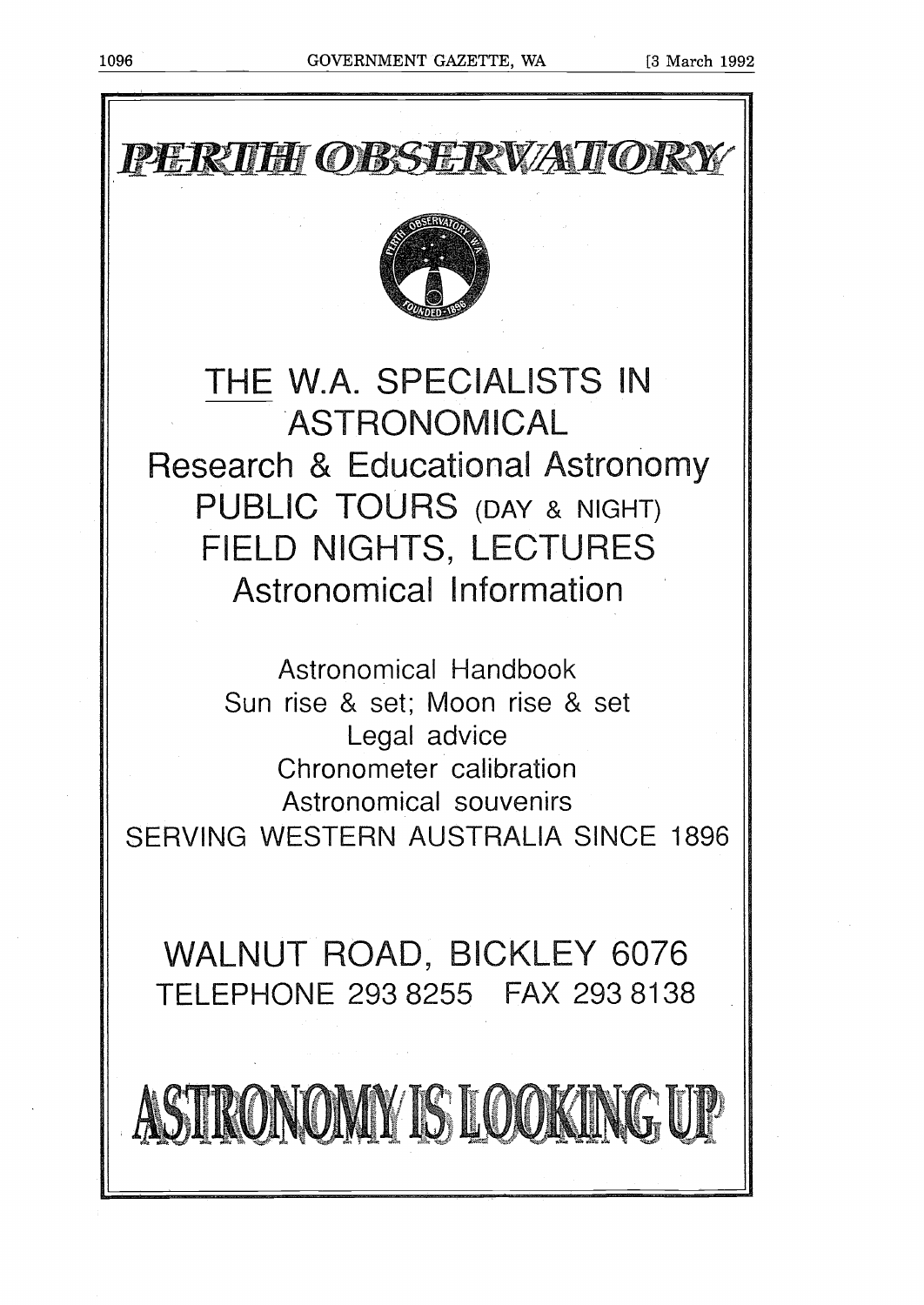



# THE W.A. SPECIALISTS IN Research & Educational Astroromy **ASTRONOMICAL** PUBLIC TOURS (DAY & NIGHT) FIELD NIGHTS, LECTURES Astronomical Information

Astronomical Handbook Sun rise & set; Moon rise & set Legal advice Chronometer calibration Astronomical souvenirs SERVING WESTERN AUSTRALIA SINCE 1896

WALNUT ROAD, BICKLEY 6076 TELEPHONE 293 8255 FAX 2938138

ASTRONOMY IS LOOKING UP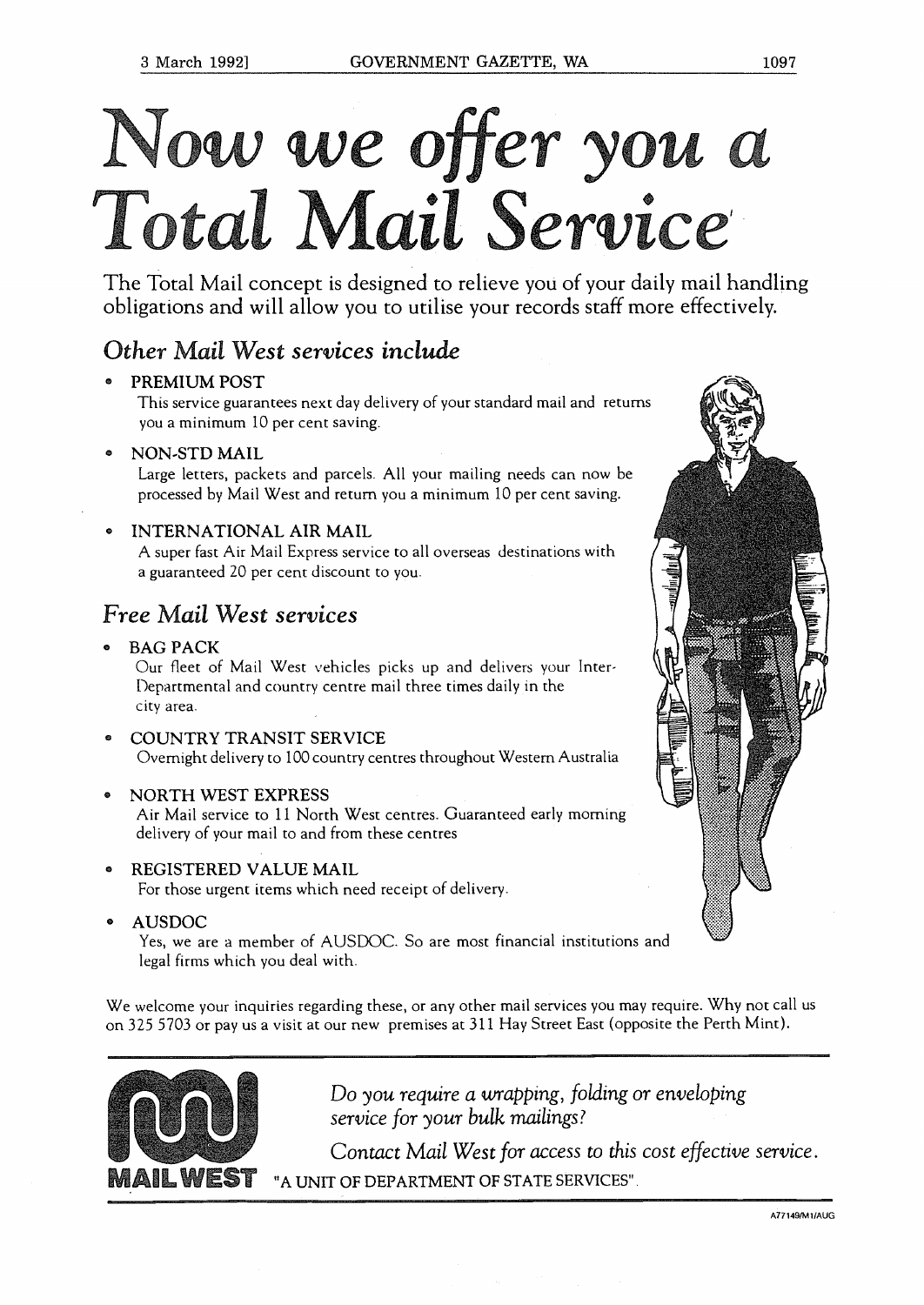# Now we offer you a Total Mail Service

The Total Mail concept is designed to relieve you of your daily mail handling obligations and will allow you to utilise your records staff more effectively.

# *Other Mail West services include*

# PREMIUM POST

This service guarantees next day delivery of your standard mail and returns you a minimum 10 per cent saving.

NON-STD MAIL

Large letters, packets and parcels. All your mailing needs can now be processed by Mail West and return you a minimum 10 per cent saving.

# INTERNATIONAL AIR MAIL

A super fast Air Mail Express service to all overseas destinations with a guaranteed 20 per cent discount to you.

# *Free Mail West services*

**BAG PACK** 

Our fleet of Mail West vehicles picks up and delivers your Inter Departmental and country centre mail three times daily in the city area.

COUNTRY TRANSIT SERVICE Overnight delivery to 100 country centres throughout Western Australia

# <sup>o</sup> NORTH WEST EXPRESS

Air Mail service to <sup>11</sup> North West centres. Guaranteed early morning delivery of your mail to and from these centres

<sup>o</sup> REGISTERED VALUE MAIL

For those urgent items which need receipt of delivery.

<sup>o</sup> AUSDOC

Yes, we are a member of AUSDOC. So are most financial institutions and legal firms which you deal with.

We welcome your inquiries regarding these, or any other mail services you may require. Why not call us on 325 5703 or pay us a visit at our new premises at 311 Hay Street East (opposite the Perth Mint).



*Do you require a wrapping, folding or enveloping service for your bulk mailings?*

*Contact Mail West for access to this cost effective service.* WEST "A UNIT OF DEPARTMENT OF STATE SERVICES".

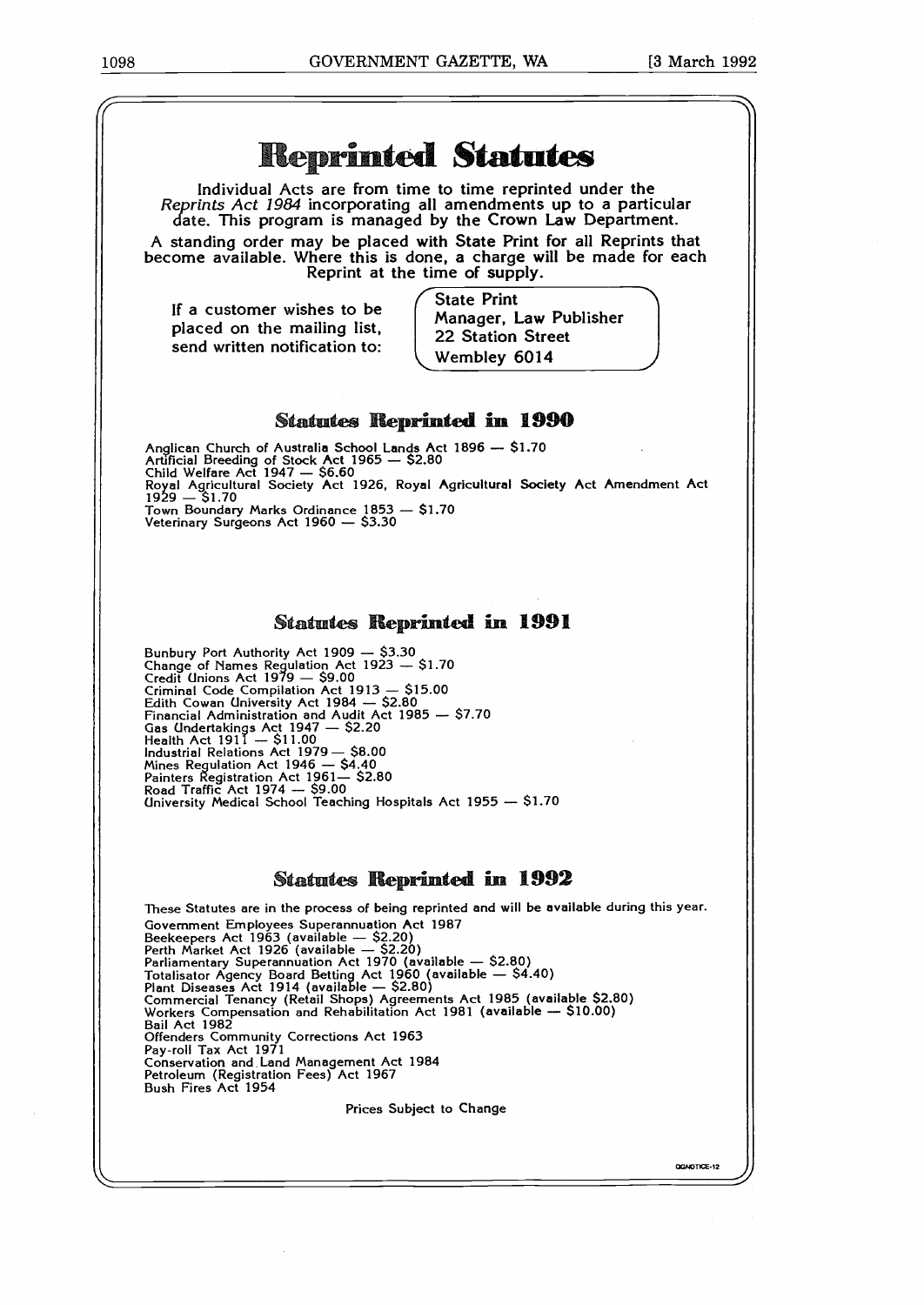

GGNOTICE-12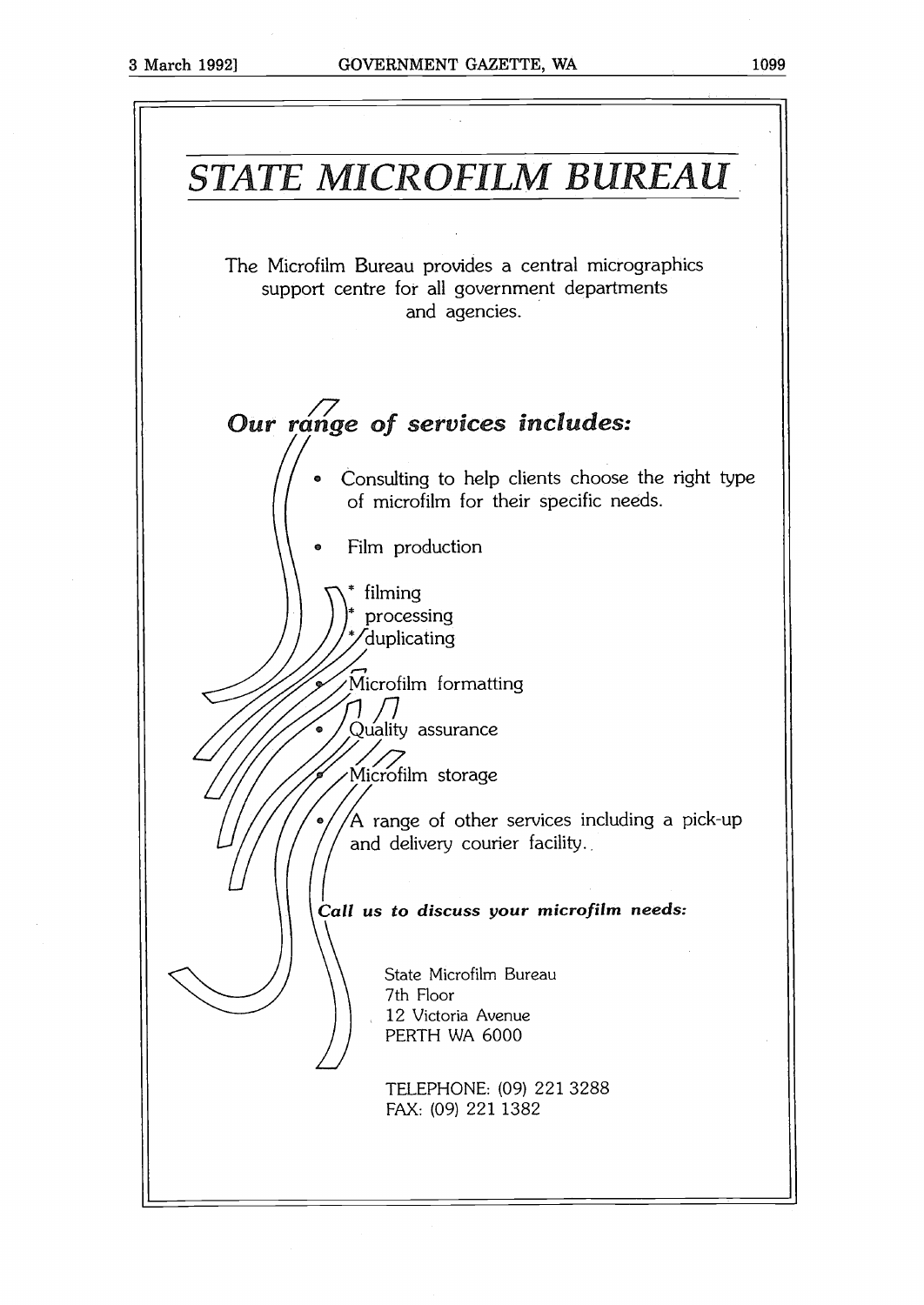